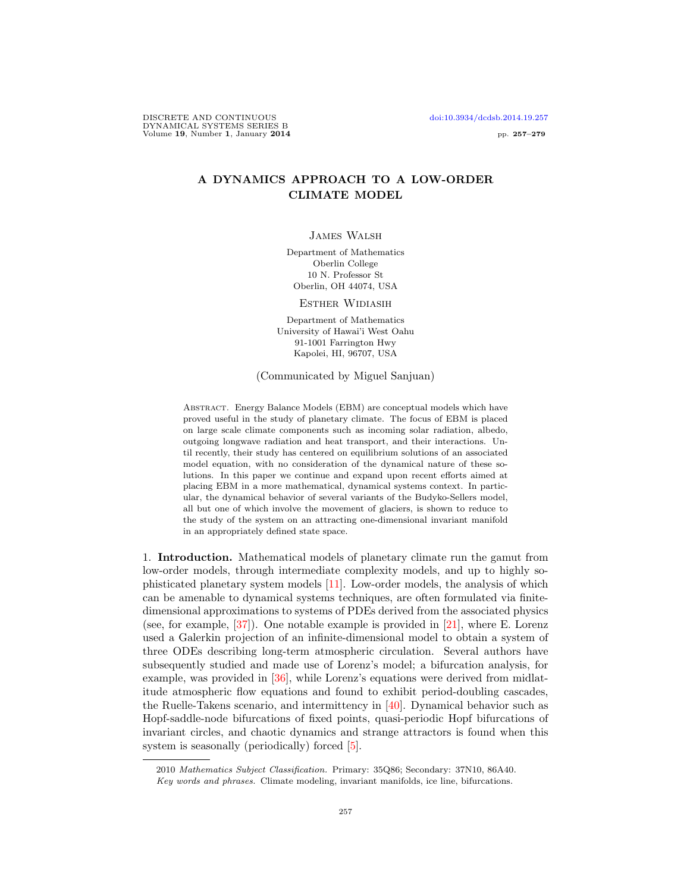DISCRETE AND CONTINUOUS [doi:10.3934/dcdsb.2014.19.257](http://dx.doi.org/10.3934/dcdsb.2014.19.257) DYNAMICAL SYSTEMS SERIES B Volume 19, Number 1, January 2014 **pp. 257–279** 

# A DYNAMICS APPROACH TO A LOW-ORDER CLIMATE MODEL

James Walsh

Department of Mathematics Oberlin College 10 N. Professor St Oberlin, OH 44074, USA

Esther Widiasih

Department of Mathematics University of Hawai'i West Oahu 91-1001 Farrington Hwy Kapolei, HI, 96707, USA

(Communicated by Miguel Sanjuan)

Abstract. Energy Balance Models (EBM) are conceptual models which have proved useful in the study of planetary climate. The focus of EBM is placed on large scale climate components such as incoming solar radiation, albedo, outgoing longwave radiation and heat transport, and their interactions. Until recently, their study has centered on equilibrium solutions of an associated model equation, with no consideration of the dynamical nature of these solutions. In this paper we continue and expand upon recent efforts aimed at placing EBM in a more mathematical, dynamical systems context. In particular, the dynamical behavior of several variants of the Budyko-Sellers model, all but one of which involve the movement of glaciers, is shown to reduce to the study of the system on an attracting one-dimensional invariant manifold in an appropriately defined state space.

1. Introduction. Mathematical models of planetary climate run the gamut from low-order models, through intermediate complexity models, and up to highly sophisticated planetary system models [\[11\]](#page-21-0). Low-order models, the analysis of which can be amenable to dynamical systems techniques, are often formulated via finitedimensional approximations to systems of PDEs derived from the associated physics (see, for example, [\[37\]](#page-22-0)). One notable example is provided in [\[21\]](#page-22-1), where E. Lorenz used a Galerkin projection of an infinite-dimensional model to obtain a system of three ODEs describing long-term atmospheric circulation. Several authors have subsequently studied and made use of Lorenz's model; a bifurcation analysis, for example, was provided in [\[36\]](#page-22-2), while Lorenz's equations were derived from midlatitude atmospheric flow equations and found to exhibit period-doubling cascades, the Ruelle-Takens scenario, and intermittency in [\[40\]](#page-22-3). Dynamical behavior such as Hopf-saddle-node bifurcations of fixed points, quasi-periodic Hopf bifurcations of invariant circles, and chaotic dynamics and strange attractors is found when this system is seasonally (periodically) forced [\[5\]](#page-21-1).

2010 Mathematics Subject Classification. Primary: 35Q86; Secondary: 37N10, 86A40.

Key words and phrases. Climate modeling, invariant manifolds, ice line, bifurcations.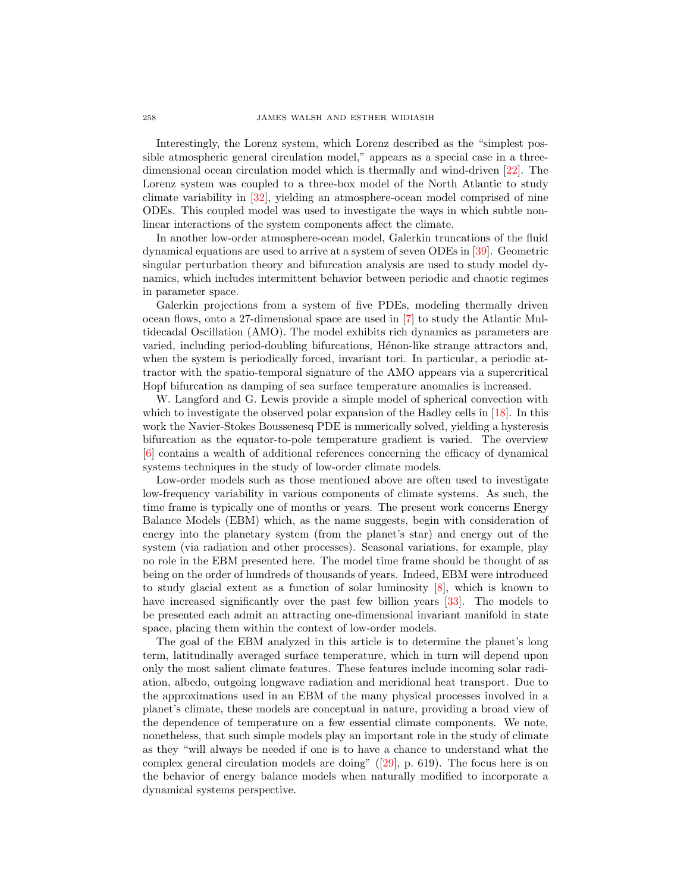Interestingly, the Lorenz system, which Lorenz described as the "simplest possible atmospheric general circulation model," appears as a special case in a threedimensional ocean circulation model which is thermally and wind-driven [\[22\]](#page-22-4). The Lorenz system was coupled to a three-box model of the North Atlantic to study climate variability in [\[32\]](#page-22-5), yielding an atmosphere-ocean model comprised of nine ODEs. This coupled model was used to investigate the ways in which subtle nonlinear interactions of the system components affect the climate.

In another low-order atmosphere-ocean model, Galerkin truncations of the fluid dynamical equations are used to arrive at a system of seven ODEs in [\[39\]](#page-22-6). Geometric singular perturbation theory and bifurcation analysis are used to study model dynamics, which includes intermittent behavior between periodic and chaotic regimes in parameter space.

Galerkin projections from a system of five PDEs, modeling thermally driven ocean flows, onto a 27-dimensional space are used in [\[7\]](#page-21-2) to study the Atlantic Multidecadal Oscillation (AMO). The model exhibits rich dynamics as parameters are varied, including period-doubling bifurcations, Hénon-like strange attractors and, when the system is periodically forced, invariant tori. In particular, a periodic attractor with the spatio-temporal signature of the AMO appears via a supercritical Hopf bifurcation as damping of sea surface temperature anomalies is increased.

W. Langford and G. Lewis provide a simple model of spherical convection with which to investigate the observed polar expansion of the Hadley cells in [\[18\]](#page-21-3). In this work the Navier-Stokes Boussenesq PDE is numerically solved, yielding a hysteresis bifurcation as the equator-to-pole temperature gradient is varied. The overview [\[6\]](#page-21-4) contains a wealth of additional references concerning the efficacy of dynamical systems techniques in the study of low-order climate models.

Low-order models such as those mentioned above are often used to investigate low-frequency variability in various components of climate systems. As such, the time frame is typically one of months or years. The present work concerns Energy Balance Models (EBM) which, as the name suggests, begin with consideration of energy into the planetary system (from the planet's star) and energy out of the system (via radiation and other processes). Seasonal variations, for example, play no role in the EBM presented here. The model time frame should be thought of as being on the order of hundreds of thousands of years. Indeed, EBM were introduced to study glacial extent as a function of solar luminosity [\[8\]](#page-21-5), which is known to have increased significantly over the past few billion years [\[33\]](#page-22-7). The models to be presented each admit an attracting one-dimensional invariant manifold in state space, placing them within the context of low-order models.

The goal of the EBM analyzed in this article is to determine the planet's long term, latitudinally averaged surface temperature, which in turn will depend upon only the most salient climate features. These features include incoming solar radiation, albedo, outgoing longwave radiation and meridional heat transport. Due to the approximations used in an EBM of the many physical processes involved in a planet's climate, these models are conceptual in nature, providing a broad view of the dependence of temperature on a few essential climate components. We note, nonetheless, that such simple models play an important role in the study of climate as they "will always be needed if one is to have a chance to understand what the complex general circulation models are doing"([\[29\]](#page-22-8), p. 619). The focus here is on the behavior of energy balance models when naturally modified to incorporate a dynamical systems perspective.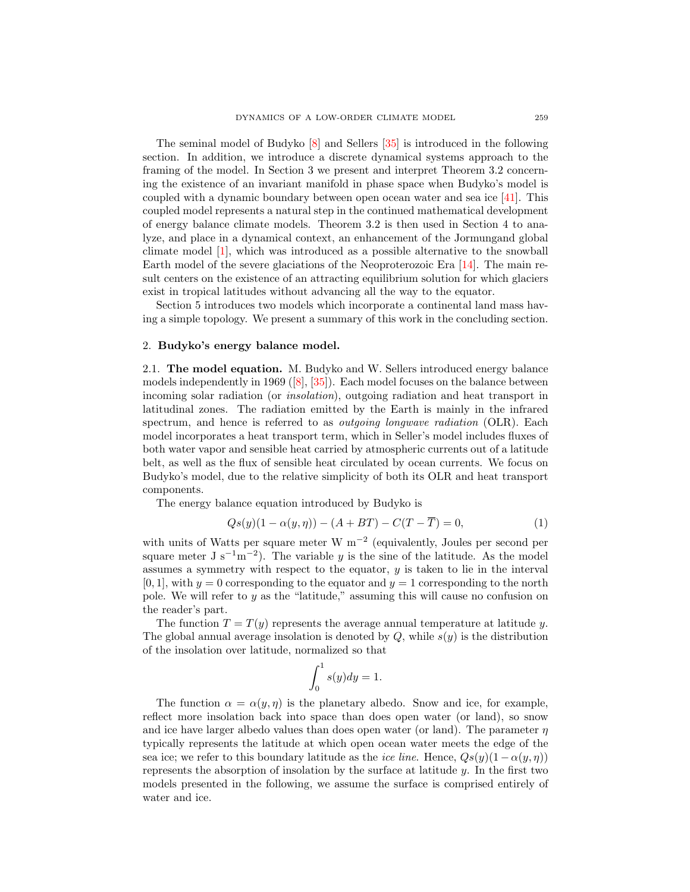The seminal model of Budyko [\[8\]](#page-21-5) and Sellers [\[35\]](#page-22-9) is introduced in the following section. In addition, we introduce a discrete dynamical systems approach to the framing of the model. In Section 3 we present and interpret Theorem 3.2 concerning the existence of an invariant manifold in phase space when Budyko's model is coupled with a dynamic boundary between open ocean water and sea ice [\[41\]](#page-22-10). This coupled model represents a natural step in the continued mathematical development of energy balance climate models. Theorem 3.2 is then used in Section 4 to analyze, and place in a dynamical context, an enhancement of the Jormungand global climate model [\[1\]](#page-21-6), which was introduced as a possible alternative to the snowball Earth model of the severe glaciations of the Neoproterozoic Era [\[14\]](#page-21-7). The main result centers on the existence of an attracting equilibrium solution for which glaciers exist in tropical latitudes without advancing all the way to the equator.

Section 5 introduces two models which incorporate a continental land mass having a simple topology. We present a summary of this work in the concluding section.

### 2. Budyko's energy balance model.

2.1. The model equation. M. Budyko and W. Sellers introduced energy balance models independently in 1969 ( $[8]$ ,  $[35]$ ). Each model focuses on the balance between incoming solar radiation (or insolation), outgoing radiation and heat transport in latitudinal zones. The radiation emitted by the Earth is mainly in the infrared spectrum, and hence is referred to as *outgoing longwave radiation* (OLR). Each model incorporates a heat transport term, which in Seller's model includes fluxes of both water vapor and sensible heat carried by atmospheric currents out of a latitude belt, as well as the flux of sensible heat circulated by ocean currents. We focus on Budyko's model, due to the relative simplicity of both its OLR and heat transport components.

The energy balance equation introduced by Budyko is

<span id="page-2-0"></span>
$$
Qs(y)(1 - \alpha(y, \eta)) - (A + BT) - C(T - \overline{T}) = 0,\t(1)
$$

with units of Watts per square meter W m−<sup>2</sup> (equivalently, Joules per second per square meter  $J s^{-1} m^{-2}$ ). The variable y is the sine of the latitude. As the model assumes a symmetry with respect to the equator,  $y$  is taken to lie in the interval  $[0, 1]$ , with  $y = 0$  corresponding to the equator and  $y = 1$  corresponding to the north pole. We will refer to  $y$  as the "latitude," assuming this will cause no confusion on the reader's part.

The function  $T = T(y)$  represents the average annual temperature at latitude y. The global annual average insolation is denoted by  $Q$ , while  $s(y)$  is the distribution of the insolation over latitude, normalized so that

$$
\int_0^1 s(y) dy = 1.
$$

The function  $\alpha = \alpha(y, \eta)$  is the planetary albedo. Snow and ice, for example, reflect more insolation back into space than does open water (or land), so snow and ice have larger albedo values than does open water (or land). The parameter  $\eta$ typically represents the latitude at which open ocean water meets the edge of the sea ice; we refer to this boundary latitude as the *ice line*. Hence,  $Q_s(y)(1 - \alpha(y, \eta))$ represents the absorption of insolation by the surface at latitude  $y$ . In the first two models presented in the following, we assume the surface is comprised entirely of water and ice.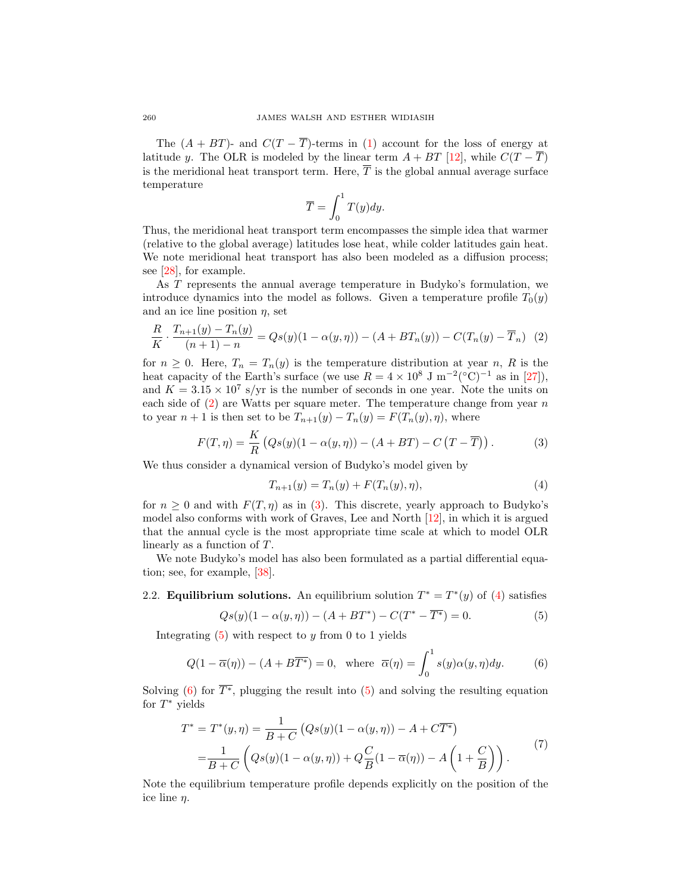The  $(A + BT)$ - and  $C(T - \overline{T})$ -terms in [\(1\)](#page-2-0) account for the loss of energy at latitude y. The OLR is modeled by the linear term  $A + BT$  [\[12\]](#page-21-8), while  $C(T - \overline{T})$ is the meridional heat transport term. Here,  $\overline{T}$  is the global annual average surface temperature

$$
\overline{T} = \int_0^1 T(y) dy.
$$

Thus, the meridional heat transport term encompasses the simple idea that warmer (relative to the global average) latitudes lose heat, while colder latitudes gain heat. We note meridional heat transport has also been modeled as a diffusion process; see [\[28\]](#page-22-11), for example.

As T represents the annual average temperature in Budyko's formulation, we introduce dynamics into the model as follows. Given a temperature profile  $T_0(y)$ and an ice line position  $\eta$ , set

<span id="page-3-0"></span>
$$
\frac{R}{K} \cdot \frac{T_{n+1}(y) - T_n(y)}{(n+1) - n} = Qs(y)(1 - \alpha(y, \eta)) - (A + BT_n(y)) - C(T_n(y) - \overline{T}_n)
$$
 (2)

for  $n \geq 0$ . Here,  $T_n = T_n(y)$  is the temperature distribution at year n, R is the heat capacity of the Earth's surface (we use  $R = 4 \times 10^8$  J m<sup>-2</sup>(°C)<sup>-1</sup> as in [\[27\]](#page-22-12)), and  $K = 3.15 \times 10^7$  s/yr is the number of seconds in one year. Note the units on each side of  $(2)$  are Watts per square meter. The temperature change from year n to year  $n + 1$  is then set to be  $T_{n+1}(y) - T_n(y) = F(T_n(y), \eta)$ , where

<span id="page-3-1"></span>
$$
F(T,\eta) = \frac{K}{R} \left( Qs(y)(1-\alpha(y,\eta)) - (A+BT) - C\left(T-\overline{T}\right) \right). \tag{3}
$$

We thus consider a dynamical version of Budyko's model given by

<span id="page-3-2"></span>
$$
T_{n+1}(y) = T_n(y) + F(T_n(y), \eta), \tag{4}
$$

for  $n \geq 0$  and with  $F(T, \eta)$  as in [\(3\)](#page-3-1). This discrete, yearly approach to Budyko's model also conforms with work of Graves, Lee and North [\[12\]](#page-21-8), in which it is argued that the annual cycle is the most appropriate time scale at which to model OLR linearly as a function of T.

We note Budyko's model has also been formulated as a partial differential equation; see, for example, [\[38\]](#page-22-13).

## 2.2. **Equilibrium solutions.** An equilibrium solution  $T^* = T^*(y)$  of [\(4\)](#page-3-2) satisfies

<span id="page-3-3"></span>
$$
Qs(y)(1 - \alpha(y, \eta)) - (A + BT^*) - C(T^* - \overline{T^*}) = 0.
$$
 (5)

Integrating  $(5)$  with respect to y from 0 to 1 yields

<span id="page-3-4"></span>
$$
Q(1 - \overline{\alpha}(\eta)) - (A + B\overline{T^*}) = 0, \text{ where } \overline{\alpha}(\eta) = \int_0^1 s(y)\alpha(y, \eta)dy. \tag{6}
$$

Solving [\(6\)](#page-3-4) for  $\overline{T^*}$ , plugging the result into [\(5\)](#page-3-3) and solving the resulting equation for  $T^*$  yields

<span id="page-3-5"></span>
$$
T^* = T^*(y, \eta) = \frac{1}{B+C} \left( Qs(y)(1-\alpha(y,\eta)) - A + C\overline{T^*} \right)
$$
  
= 
$$
\frac{1}{B+C} \left( Qs(y)(1-\alpha(y,\eta)) + Q\frac{C}{B}(1-\overline{\alpha}(\eta)) - A\left(1+\frac{C}{B}\right) \right).
$$
 (7)

Note the equilibrium temperature profile depends explicitly on the position of the ice line η.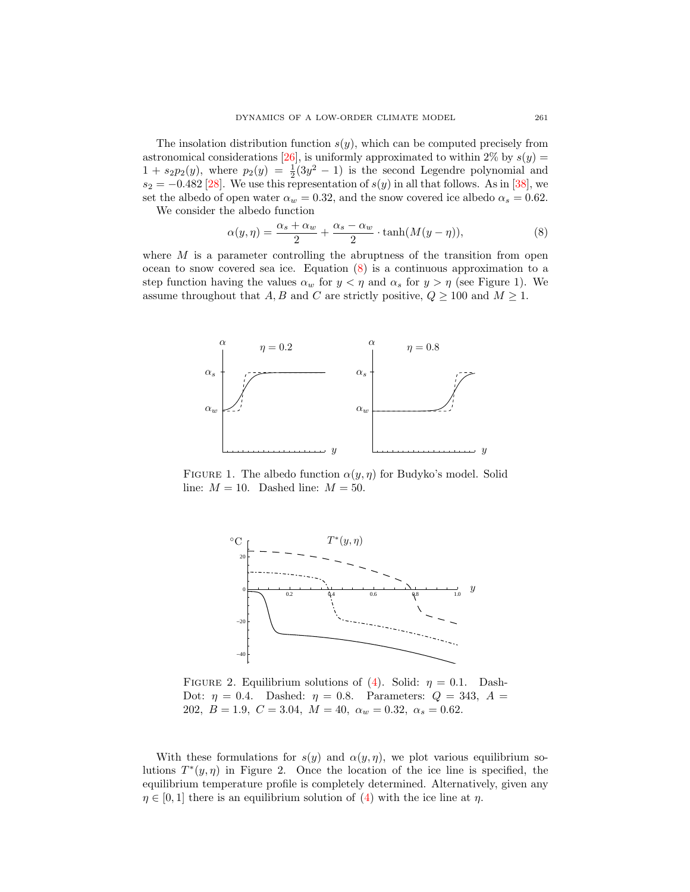The insolation distribution function  $s(y)$ , which can be computed precisely from astronomical considerations [\[26\]](#page-22-14), is uniformly approximated to within 2% by  $s(y)$  =  $1 + s_2p_2(y)$ , where  $p_2(y) = \frac{1}{2}(3y^2 - 1)$  is the second Legendre polynomial and  $s_2 = -0.482$  [\[28\]](#page-22-11). We use this representation of  $s(y)$  in all that follows. As in [\[38\]](#page-22-13), we set the albedo of open water  $\alpha_w = 0.32$ , and the snow covered ice albedo  $\alpha_s = 0.62$ . We consider the albedo function

 $\alpha_s - \alpha_w$ 

<span id="page-4-0"></span>
$$
\alpha(y,\eta) = \frac{\alpha_s + \alpha_w}{2} + \frac{\alpha_s - \alpha_w}{2} \cdot \tanh(M(y-\eta)),\tag{8}
$$

where  $M$  is a parameter controlling the abruptness of the transition from open ocean to snow covered sea ice. Equation [\(8\)](#page-4-0) is a continuous approximation to a step function having the values  $\alpha_w$  for  $y < \eta$  and  $\alpha_s$  for  $y > \eta$  (see Figure 1). We assume throughout that A, B and C are strictly positive,  $Q \ge 100$  and  $M \ge 1$ .



FIGURE 1. The albedo function  $\alpha(y, \eta)$  for Budyko's model. Solid line:  $M = 10$ . Dashed line:  $M = 50$ .



FIGURE 2. Equilibrium solutions of [\(4\)](#page-3-2). Solid:  $\eta = 0.1$ . Dash-Dot:  $\eta = 0.4$ . Dashed:  $\eta = 0.8$ . Parameters:  $Q = 343$ ,  $A =$ 202,  $B = 1.9, C = 3.04, M = 40, \alpha_w = 0.32, \alpha_s = 0.62.$ 

With these formulations for  $s(y)$  and  $\alpha(y, \eta)$ , we plot various equilibrium solutions  $T^*(y, \eta)$  in Figure 2. Once the location of the ice line is specified, the equilibrium temperature profile is completely determined. Alternatively, given any  $\eta \in [0, 1]$  there is an equilibrium solution of [\(4\)](#page-3-2) with the ice line at  $\eta$ .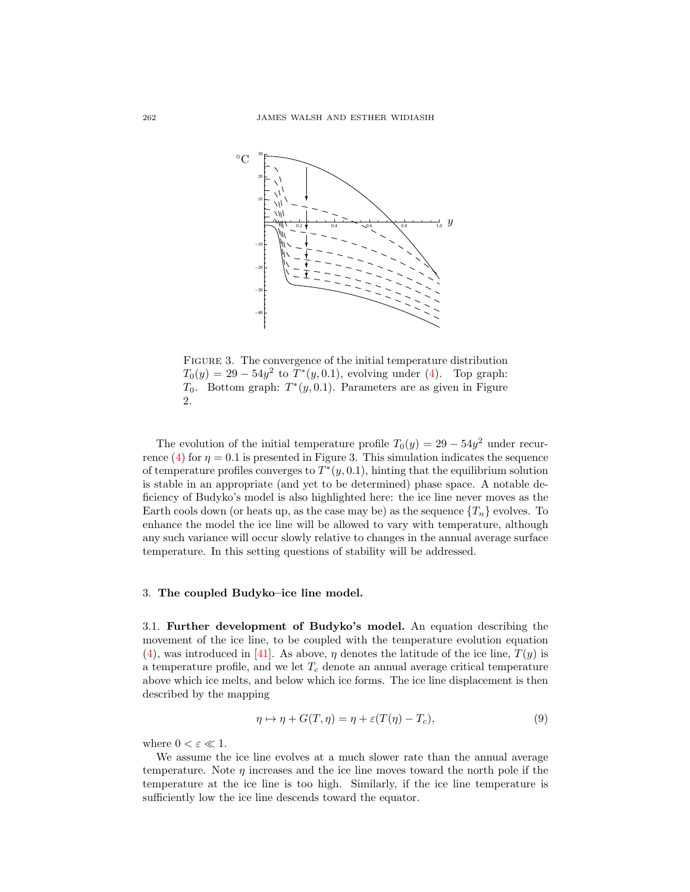

FIGURE 3. The convergence of the initial temperature distribution  $T_0(y) = 29 - 54y^2$  to  $T^*(y, 0.1)$ , evolving under [\(4\)](#page-3-2). Top graph:  $T_0$ . Bottom graph:  $T^*(y, 0.1)$ . Parameters are as given in Figure 2.

The evolution of the initial temperature profile  $T_0(y) = 29 - 54y^2$  under recur-rence [\(4\)](#page-3-2) for  $\eta = 0.1$  is presented in Figure 3. This simulation indicates the sequence of temperature profiles converges to  $T^*(y, 0.1)$ , hinting that the equilibrium solution is stable in an appropriate (and yet to be determined) phase space. A notable deficiency of Budyko's model is also highlighted here: the ice line never moves as the Earth cools down (or heats up, as the case may be) as the sequence  $\{T_n\}$  evolves. To enhance the model the ice line will be allowed to vary with temperature, although any such variance will occur slowly relative to changes in the annual average surface temperature. In this setting questions of stability will be addressed.

#### 3. The coupled Budyko–ice line model.

3.1. Further development of Budyko's model. An equation describing the movement of the ice line, to be coupled with the temperature evolution equation [\(4\)](#page-3-2), was introduced in [\[41\]](#page-22-10). As above,  $\eta$  denotes the latitude of the ice line,  $T(y)$  is a temperature profile, and we let  $T_c$  denote an annual average critical temperature above which ice melts, and below which ice forms. The ice line displacement is then described by the mapping

<span id="page-5-0"></span>
$$
\eta \mapsto \eta + G(T, \eta) = \eta + \varepsilon (T(\eta) - T_c), \tag{9}
$$

where  $0<\varepsilon\ll 1.$ 

We assume the ice line evolves at a much slower rate than the annual average temperature. Note  $\eta$  increases and the ice line moves toward the north pole if the temperature at the ice line is too high. Similarly, if the ice line temperature is sufficiently low the ice line descends toward the equator.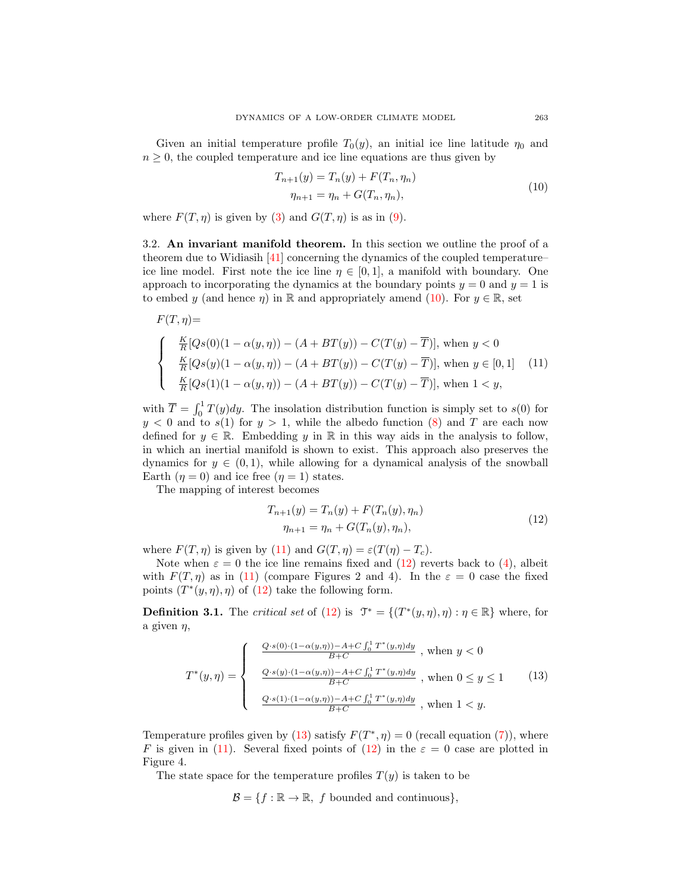Given an initial temperature profile  $T_0(y)$ , an initial ice line latitude  $\eta_0$  and  $n \geq 0$ , the coupled temperature and ice line equations are thus given by

$$
T_{n+1}(y) = T_n(y) + F(T_n, \eta_n)
$$
  
\n
$$
\eta_{n+1} = \eta_n + G(T_n, \eta_n),
$$
\n(10)

<span id="page-6-0"></span>where  $F(T, \eta)$  is given by [\(3\)](#page-3-1) and  $G(T, \eta)$  is as in [\(9\)](#page-5-0).

3.2. An invariant manifold theorem. In this section we outline the proof of a theorem due to Widiasih [\[41\]](#page-22-10) concerning the dynamics of the coupled temperature– ice line model. First note the ice line  $\eta \in [0, 1]$ , a manifold with boundary. One approach to incorporating the dynamics at the boundary points  $y = 0$  and  $y = 1$  is to embed y (and hence  $\eta$ ) in R and appropriately amend [\(10\)](#page-6-0). For  $y \in \mathbb{R}$ , set

<span id="page-6-1"></span>
$$
F(T, \eta) =
$$
\n
$$
\begin{cases}\n\frac{K}{R}[Qs(0)(1 - \alpha(y, \eta)) - (A + BT(y)) - C(T(y) - \overline{T})], \text{ when } y < 0 \\
\frac{K}{R}[Qs(y)(1 - \alpha(y, \eta)) - (A + BT(y)) - C(T(y) - \overline{T})], \text{ when } y \in [0, 1] \\
\frac{K}{R}[Qs(1)(1 - \alpha(y, \eta)) - (A + BT(y)) - C(T(y) - \overline{T})], \text{ when } 1 < y,\n\end{cases}
$$
\n(11)

with  $\overline{T} = \int_0^1 T(y) dy$ . The insolation distribution function is simply set to s(0) for  $y < 0$  and to  $s(1)$  for  $y > 1$ , while the albedo function [\(8\)](#page-4-0) and T are each now defined for  $y \in \mathbb{R}$ . Embedding y in R in this way aids in the analysis to follow, in which an inertial manifold is shown to exist. This approach also preserves the dynamics for  $y \in (0, 1)$ , while allowing for a dynamical analysis of the snowball Earth  $(\eta = 0)$  and ice free  $(\eta = 1)$  states.

<span id="page-6-2"></span>The mapping of interest becomes

$$
T_{n+1}(y) = T_n(y) + F(T_n(y), \eta_n)
$$
  
\n
$$
\eta_{n+1} = \eta_n + G(T_n(y), \eta_n),
$$
\n(12)

where  $F(T, \eta)$  is given by [\(11\)](#page-6-1) and  $G(T, \eta) = \varepsilon(T(\eta) - T_c)$ .

Note when  $\varepsilon = 0$  the ice line remains fixed and [\(12\)](#page-6-2) reverts back to [\(4\)](#page-3-2), albeit with  $F(T, \eta)$  as in [\(11\)](#page-6-1) (compare Figures 2 and 4). In the  $\varepsilon = 0$  case the fixed points  $(T^*(y, \eta), \eta)$  of  $(12)$  take the following form.

**Definition 3.1.** The *critical set* of [\(12\)](#page-6-2) is  $\mathcal{T}^* = \{(T^*(y, \eta), \eta) : \eta \in \mathbb{R}\}\)$  where, for a given  $\eta$ ,

<span id="page-6-3"></span>
$$
T^*(y,\eta) = \begin{cases} \frac{Q \cdot s(0) \cdot (1 - \alpha(y,\eta)) - A + C \int_0^1 T^*(y,\eta) dy}{B + C} \text{ , when } y < 0 \\ \frac{Q \cdot s(y) \cdot (1 - \alpha(y,\eta)) - A + C \int_0^1 T^*(y,\eta) dy}{B + C} \text{ , when } 0 \le y \le 1 \\ \frac{Q \cdot s(1) \cdot (1 - \alpha(y,\eta)) - A + C \int_0^1 T^*(y,\eta) dy}{B + C} \text{ , when } 1 < y. \end{cases} \tag{13}
$$

Temperature profiles given by [\(13\)](#page-6-3) satisfy  $F(T^*, \eta) = 0$  (recall equation [\(7\)](#page-3-5)), where F is given in [\(11\)](#page-6-1). Several fixed points of [\(12\)](#page-6-2) in the  $\varepsilon = 0$  case are plotted in Figure 4.

The state space for the temperature profiles  $T(y)$  is taken to be

 $\mathcal{B} = \{f : \mathbb{R} \to \mathbb{R}, f \text{ bounded and continuous}\},\$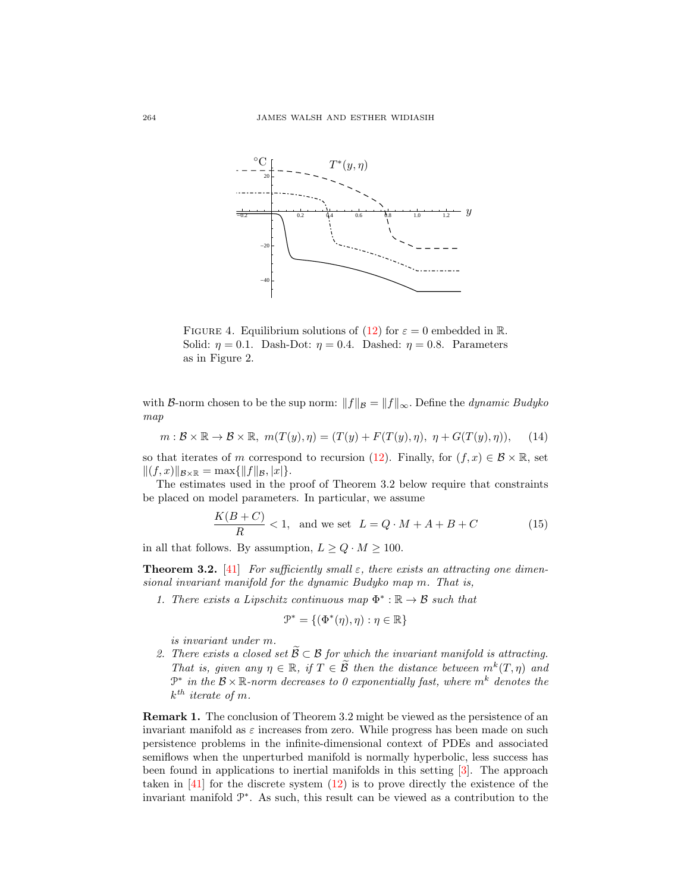

FIGURE 4. Equilibrium solutions of [\(12\)](#page-6-2) for  $\varepsilon = 0$  embedded in R. Solid:  $\eta = 0.1$ . Dash-Dot:  $\eta = 0.4$ . Dashed:  $\eta = 0.8$ . Parameters as in Figure 2.

with B-norm chosen to be the sup norm:  $||f||_{\mathcal{B}} = ||f||_{\infty}$ . Define the *dynamic Budyko* map

<span id="page-7-1"></span>
$$
m: \mathcal{B} \times \mathbb{R} \to \mathcal{B} \times \mathbb{R}, \ m(T(y), \eta) = (T(y) + F(T(y), \eta), \ \eta + G(T(y), \eta)), \tag{14}
$$

so that iterates of m correspond to recursion [\(12\)](#page-6-2). Finally, for  $(f, x) \in \mathcal{B} \times \mathbb{R}$ , set  $||(f, x)||_{\mathcal{B}\times\mathbb{R}} = \max{||f||_{\mathcal{B}}, |x|}.$ 

The estimates used in the proof of Theorem 3.2 below require that constraints be placed on model parameters. In particular, we assume

<span id="page-7-0"></span>
$$
\frac{K(B+C)}{R} < 1, \quad \text{and we set} \quad L = Q \cdot M + A + B + C \tag{15}
$$

in all that follows. By assumption,  $L \ge Q \cdot M \ge 100$ .

**Theorem 3.2.** [\[41\]](#page-22-10) For sufficiently small  $\varepsilon$ , there exists an attracting one dimensional invariant manifold for the dynamic Budyko map m. That is,

1. There exists a Lipschitz continuous map  $\Phi^*: \mathbb{R} \to \mathcal{B}$  such that

$$
\mathcal{P}^* = \{(\Phi^*(\eta), \eta) : \eta \in \mathbb{R}\}
$$

is invariant under m.

2. There exists a closed set  $\widetilde{\mathcal{B}} \subset \mathcal{B}$  for which the invariant manifold is attracting. That is, given any  $\eta \in \mathbb{R}$ , if  $T \in \widetilde{\mathcal{B}}$  then the distance between  $m^k(T, \eta)$  and  $\mathbb{P}^*$  in the  $\mathcal{B} \times \mathbb{R}$ -norm decreases to 0 exponentially fast, where  $m^k$  denotes the  $k^{th}$  iterate of m.

Remark 1. The conclusion of Theorem 3.2 might be viewed as the persistence of an invariant manifold as  $\varepsilon$  increases from zero. While progress has been made on such persistence problems in the infinite-dimensional context of PDEs and associated semiflows when the unperturbed manifold is normally hyperbolic, less success has been found in applications to inertial manifolds in this setting [\[3\]](#page-21-9). The approach taken in [\[41\]](#page-22-10) for the discrete system [\(12\)](#page-6-2) is to prove directly the existence of the invariant manifold P ∗ . As such, this result can be viewed as a contribution to the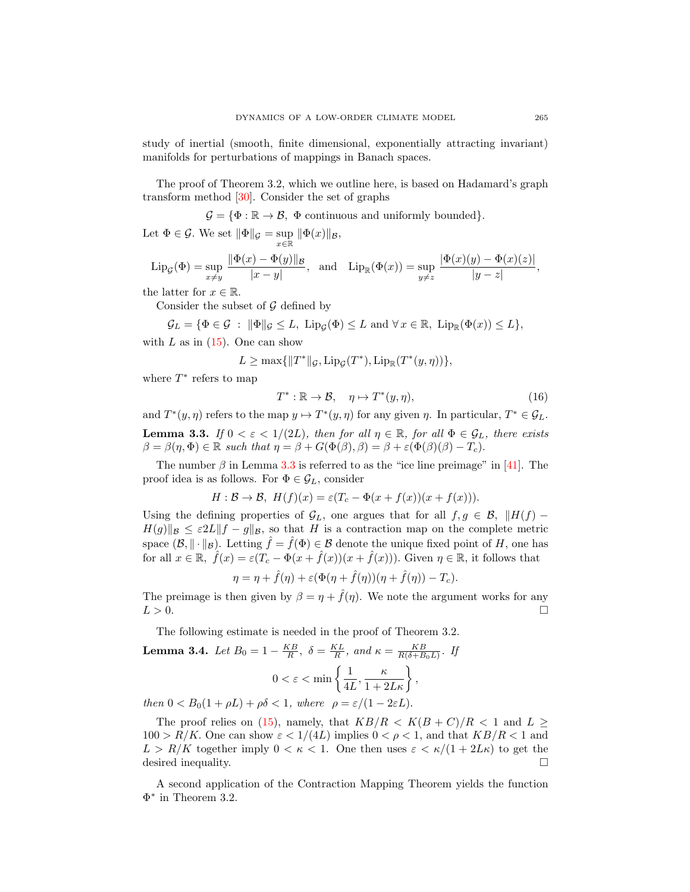study of inertial (smooth, finite dimensional, exponentially attracting invariant) manifolds for perturbations of mappings in Banach spaces.

The proof of Theorem 3.2, which we outline here, is based on Hadamard's graph transform method [\[30\]](#page-22-15). Consider the set of graphs

 $\mathcal{G} = \{\Phi : \mathbb{R} \to \mathcal{B}, \Phi \text{ continuous and uniformly bounded}\}.$ 

Let  $\Phi \in \mathcal{G}$ . We set  $\|\Phi\|_{\mathcal{G}} = \sup_{x \in \mathbb{R}} \|\Phi(x)\|_{\mathcal{B}}$ ,

$$
\mathrm{Lip}_{\mathcal{G}}(\Phi) = \sup_{x \neq y} \frac{\|\Phi(x) - \Phi(y)\|_{\mathcal{B}}}{|x - y|}, \text{ and } \mathrm{Lip}_{\mathbb{R}}(\Phi(x)) = \sup_{y \neq z} \frac{|\Phi(x)(y) - \Phi(x)(z)|}{|y - z|},
$$

the latter for  $x \in \mathbb{R}$ .

Consider the subset of  $\mathcal G$  defined by

$$
\mathcal{G}_L = \{ \Phi \in \mathcal{G} : \|\Phi\|_{\mathcal{G}} \leq L, \text{ Lip}_{\mathcal{G}}(\Phi) \leq L \text{ and } \forall x \in \mathbb{R}, \text{ Lip}_{\mathbb{R}}(\Phi(x)) \leq L \},
$$

with  $L$  as in  $(15)$ . One can show

$$
L \ge \max\{\|T^*\|_{\mathcal{G}}, \operatorname{Lip}_{\mathcal{G}}(T^*), \operatorname{Lip}_{\mathbb{R}}(T^*(y,\eta))\},\
$$

where  $T^*$  refers to map

$$
T^* : \mathbb{R} \to \mathcal{B}, \quad \eta \mapsto T^*(y, \eta), \tag{16}
$$

<span id="page-8-0"></span>and  $T^*(y, \eta)$  refers to the map  $y \mapsto T^*(y, \eta)$  for any given  $\eta$ . In particular,  $T^* \in \mathcal{G}_L$ . **Lemma 3.3.** If  $0 < \varepsilon < 1/(2L)$ , then for all  $\eta \in \mathbb{R}$ , for all  $\Phi \in \mathcal{G}_L$ , there exists  $\beta = \beta(\eta, \Phi) \in \mathbb{R}$  such that  $\eta = \beta + G(\Phi(\beta), \beta) = \beta + \varepsilon(\Phi(\beta)(\beta) - T_c)$ .

The number  $\beta$  in Lemma [3.3](#page-8-0) is referred to as the "ice line preimage" in [\[41\]](#page-22-10). The proof idea is as follows. For  $\Phi \in \mathcal{G}_L$ , consider

$$
H: \mathcal{B} \to \mathcal{B}, H(f)(x) = \varepsilon (T_c - \Phi(x + f(x))(x + f(x))).
$$

Using the defining properties of  $\mathcal{G}_L$ , one argues that for all  $f, g \in \mathcal{B}$ ,  $||H(f) H(g)\Vert_{\mathcal{B}} \leq \varepsilon 2L\Vert f - g\Vert_{\mathcal{B}}$ , so that H is a contraction map on the complete metric space  $(\mathcal{B}, \|\cdot\|_{\mathcal{B}})$ . Letting  $\hat{f} = \hat{f}(\Phi) \in \mathcal{B}$  denote the unique fixed point of H, one has for all  $x \in \mathbb{R}$ ,  $\hat{f}(x) = \varepsilon (T_c - \Phi(x + \hat{f}(x))(x + \hat{f}(x)))$ . Given  $\eta \in \mathbb{R}$ , it follows that

$$
\eta = \eta + \hat{f}(\eta) + \varepsilon (\Phi(\eta + \hat{f}(\eta))(\eta + \hat{f}(\eta)) - T_c).
$$

The preimage is then given by  $\beta = \eta + \hat{f}(\eta)$ . We note the argument works for any  $L > 0$ .

The following estimate is needed in the proof of Theorem 3.2.

<span id="page-8-1"></span>**Lemma 3.4.** Let 
$$
B_0 = 1 - \frac{KB}{R}
$$
,  $\delta = \frac{KL}{R}$ , and  $\kappa = \frac{KB}{R(\delta + B_0 L)}$ . If  

$$
0 < \varepsilon < \min\left\{\frac{1}{4L}, \frac{\kappa}{1 + 2L\kappa}\right\},
$$

then  $0 < B_0(1 + \rho L) + \rho \delta < 1$ , where  $\rho = \varepsilon/(1 - 2\varepsilon L)$ .

The proof relies on [\(15\)](#page-7-0), namely, that  $KB/R < K(B+C)/R < 1$  and  $L >$  $100 > R/K$ . One can show  $\varepsilon < 1/(4L)$  implies  $0 < \rho < 1$ , and that  $KB/R < 1$  and  $L > R/K$  together imply  $0 < \kappa < 1$ . One then uses  $\varepsilon < \kappa/(1 + 2L\kappa)$  to get the desired inequality.

A second application of the Contraction Mapping Theorem yields the function  $\Phi^*$  in Theorem 3.2.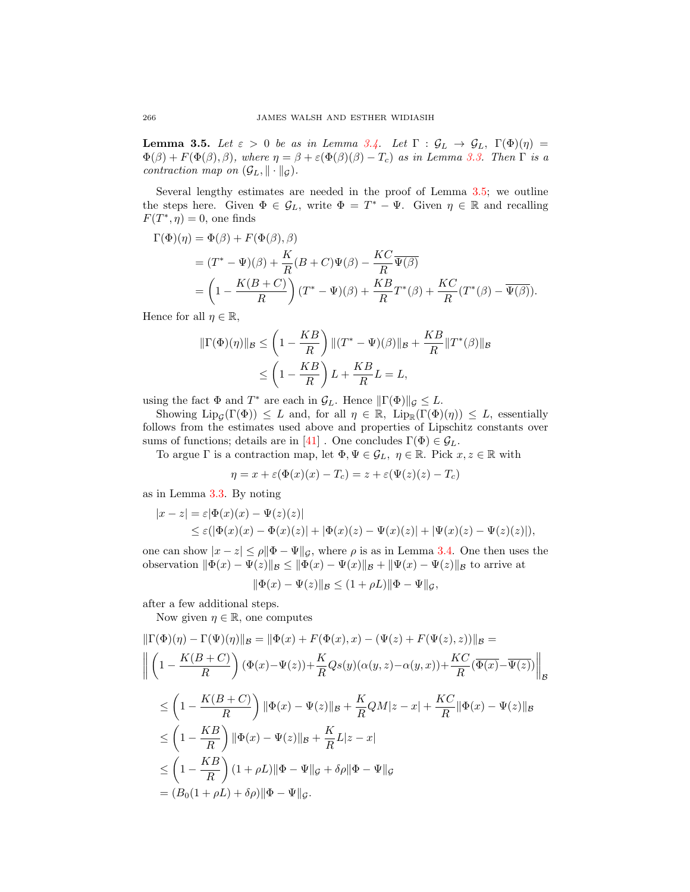<span id="page-9-0"></span>**Lemma 3.5.** Let  $\varepsilon > 0$  be as in Lemma [3.4.](#page-8-1) Let  $\Gamma : \mathcal{G}_L \to \mathcal{G}_L$ ,  $\Gamma(\Phi)(\eta) =$  $\Phi(\beta) + F(\Phi(\beta), \beta)$ , where  $\eta = \beta + \varepsilon(\Phi(\beta)(\beta) - T_c)$  as in Lemma [3.3.](#page-8-0) Then  $\Gamma$  is a contraction map on  $(\mathcal{G}_L, \|\cdot\|_{\mathcal{G}})$ .

Several lengthy estimates are needed in the proof of Lemma [3.5;](#page-9-0) we outline the steps here. Given  $\Phi \in \mathcal{G}_L$ , write  $\Phi = T^* - \Psi$ . Given  $\eta \in \mathbb{R}$  and recalling  $F(T^*, \eta) = 0$ , one finds

$$
\Gamma(\Phi)(\eta) = \Phi(\beta) + F(\Phi(\beta), \beta)
$$
  
=  $(T^* - \Psi)(\beta) + \frac{K}{R}(B + C)\Psi(\beta) - \frac{KC}{R}\overline{\Psi(\beta)}$   
=  $\left(1 - \frac{K(B + C)}{R}\right)(T^* - \Psi)(\beta) + \frac{KB}{R}T^*(\beta) + \frac{KC}{R}(T^*(\beta) - \overline{\Psi(\beta)}).$ 

Hence for all  $\eta \in \mathbb{R}$ ,

$$
\begin{aligned} \|\Gamma(\Phi)(\eta)\|_{\mathcal{B}} &\leq \left(1 - \frac{KB}{R}\right) \|(T^* - \Psi)(\beta)\|_{\mathcal{B}} + \frac{KB}{R} \|T^*(\beta)\|_{\mathcal{B}} \\ &\leq \left(1 - \frac{KB}{R}\right)L + \frac{KB}{R}L = L, \end{aligned}
$$

using the fact  $\Phi$  and  $T^*$  are each in  $\mathcal{G}_L$ . Hence  $\|\Gamma(\Phi)\|_{\mathcal{G}} \leq L$ .

Showing  $\text{Lip}_{\mathcal{G}}(\Gamma(\Phi)) \leq L$  and, for all  $\eta \in \mathbb{R}$ ,  $\text{Lip}_{\mathbb{R}}(\Gamma(\Phi)(\eta)) \leq L$ , essentially follows from the estimates used above and properties of Lipschitz constants over sums of functions; details are in [\[41\]](#page-22-10). One concludes  $\Gamma(\Phi) \in \mathcal{G}_L$ .

To argue  $\Gamma$  is a contraction map, let  $\Phi, \Psi \in \mathcal{G}_L$ ,  $\eta \in \mathbb{R}$ . Pick  $x, z \in \mathbb{R}$  with

$$
\eta = x + \varepsilon (\Phi(x)(x) - T_c) = z + \varepsilon (\Psi(z)(z) - T_c)
$$

as in Lemma [3.3.](#page-8-0) By noting

$$
|x - z| = \varepsilon |\Phi(x)(x) - \Psi(z)(z)|
$$
  
\$\leq \varepsilon (|\Phi(x)(x) - \Phi(x)(z)| + |\Phi(x)(z) - \Psi(x)(z)| + |\Psi(x)(z) - \Psi(z)(z)|),\$

one can show  $|x - z| \le \rho ||\Phi - \Psi||_{\mathcal{G}}$ , where  $\rho$  is as in Lemma [3.4.](#page-8-1) One then uses the observation  $\|\Phi(x) - \Psi(z)\|_{\mathcal{B}} \le \|\Phi(x) - \Psi(x)\|_{\mathcal{B}} + \|\Psi(x) - \Psi(z)\|_{\mathcal{B}}$  to arrive at

$$
\|\Phi(x) - \Psi(z)\|_{\mathcal{B}} \le (1 + \rho L) \|\Phi - \Psi\|_{\mathcal{G}},
$$

after a few additional steps.

Now given  $\eta \in \mathbb{R}$ , one computes

$$
\begin{split}\n\|\Gamma(\Phi)(\eta) - \Gamma(\Psi)(\eta)\|_{\mathcal{B}} &= \|\Phi(x) + F(\Phi(x), x) - (\Psi(z) + F(\Psi(z), z))\|_{\mathcal{B}} = \\
& \left\| \left(1 - \frac{K(B+C)}{R}\right) (\Phi(x) - \Psi(z)) + \frac{K}{R} Qs(y) (\alpha(y, z) - \alpha(y, x)) + \frac{KC}{R} (\overline{\Phi(x)} - \overline{\Psi(z)}) \right\|_{\mathcal{B}} \\
& \leq \left(1 - \frac{K(B+C)}{R}\right) \|\Phi(x) - \Psi(z)\|_{\mathcal{B}} + \frac{K}{R} QM|z - x| + \frac{KC}{R} \|\Phi(x) - \Psi(z)\|_{\mathcal{B}} \\
& \leq \left(1 - \frac{KB}{R}\right) \|\Phi(x) - \Psi(z)\|_{\mathcal{B}} + \frac{KL}{R} L|z - x| \\
& \leq \left(1 - \frac{KB}{R}\right) (1 + \rho L) \|\Phi - \Psi\|_{\mathcal{G}} + \delta \rho \|\Phi - \Psi\|_{\mathcal{G}} \\
& = (B_0(1 + \rho L) + \delta \rho) \|\Phi - \Psi\|_{\mathcal{G}}.\n\end{split}
$$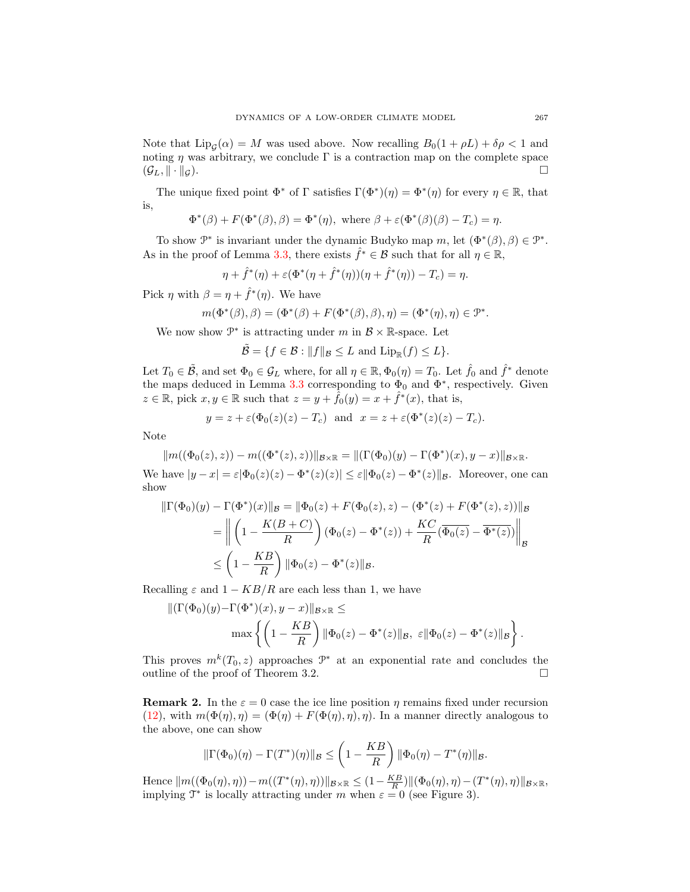Note that  $\text{Lip}_{\mathcal{G}}(\alpha) = M$  was used above. Now recalling  $B_0(1 + \rho L) + \delta \rho < 1$  and noting  $\eta$  was arbitrary, we conclude  $\Gamma$  is a contraction map on the complete space  $(\mathcal{G}_L, \|\cdot\|_{\mathcal{G}}).$ 

The unique fixed point  $\Phi^*$  of  $\Gamma$  satisfies  $\Gamma(\Phi^*)(\eta) = \Phi^*(\eta)$  for every  $\eta \in \mathbb{R}$ , that is,

$$
\Phi^*(\beta) + F(\Phi^*(\beta), \beta) = \Phi^*(\eta), \text{ where } \beta + \varepsilon(\Phi^*(\beta)(\beta) - T_c) = \eta.
$$

To show  $\mathcal{P}^*$  is invariant under the dynamic Budyko map m, let  $(\Phi^*(\beta), \beta) \in \mathcal{P}^*$ . As in the proof of Lemma [3.3,](#page-8-0) there exists  $\hat{f}^* \in \mathcal{B}$  such that for all  $\eta \in \mathbb{R}$ ,

$$
\eta + \hat{f}^*(\eta) + \varepsilon (\Phi^*(\eta + \hat{f}^*(\eta))(\eta + \hat{f}^*(\eta)) - T_c) = \eta.
$$

Pick  $\eta$  with  $\beta = \eta + \hat{f}^*(\eta)$ . We have

$$
m(\Phi^*(\beta), \beta) = (\Phi^*(\beta) + F(\Phi^*(\beta), \beta), \eta) = (\Phi^*(\eta), \eta) \in \mathcal{P}^*.
$$

We now show  $\mathcal{P}^*$  is attracting under m in  $\mathcal{B} \times \mathbb{R}$ -space. Let

$$
\tilde{\mathcal{B}} = \{ f \in \mathcal{B} : ||f||_{\mathcal{B}} \le L \text{ and } \text{Lip}_{\mathbb{R}}(f) \le L \}.
$$

Let  $T_0 \in \tilde{\mathcal{B}}$ , and set  $\Phi_0 \in \mathcal{G}_L$  where, for all  $\eta \in \mathbb{R}, \Phi_0(\eta) = T_0$ . Let  $\hat{f}_0$  and  $\hat{f}^*$  denote the maps deduced in Lemma [3.3](#page-8-0) corresponding to  $\Phi_0$  and  $\Phi^*$ , respectively. Given  $z \in \mathbb{R}$ , pick  $x, y \in \mathbb{R}$  such that  $z = y + \hat{f}_0(y) = x + \hat{f}^*(x)$ , that is,

$$
y = z + \varepsilon(\Phi_0(z)(z) - T_c)
$$
 and  $x = z + \varepsilon(\Phi^*(z)(z) - T_c)$ .

Note

$$
||m((\Phi_0(z),z)) - m((\Phi^*(z),z))||_{\mathcal{B}\times\mathbb{R}} = ||(\Gamma(\Phi_0)(y) - \Gamma(\Phi^*)(x),y - x)||_{\mathcal{B}\times\mathbb{R}}.
$$

We have  $|y-x| = \varepsilon |\Phi_0(z)(z) - \Phi^*(z)(z)| \le \varepsilon |\Phi_0(z) - \Phi^*(z)| |B|$ . Moreover, one can show

$$
\|\Gamma(\Phi_0)(y) - \Gamma(\Phi^*)(x)\|_{\mathcal{B}} = \|\Phi_0(z) + F(\Phi_0(z), z) - (\Phi^*(z) + F(\Phi^*(z), z))\|_{\mathcal{B}}
$$
  
= 
$$
\left\| \left(1 - \frac{K(B+C)}{R}\right) (\Phi_0(z) - \Phi^*(z)) + \frac{KC}{R} (\overline{\Phi_0(z)} - \overline{\Phi^*(z)}) \right\|_{\mathcal{B}}
$$
  

$$
\leq \left(1 - \frac{KB}{R}\right) \|\Phi_0(z) - \Phi^*(z)\|_{\mathcal{B}}.
$$

Recalling  $\varepsilon$  and  $1 - KB/R$  are each less than 1, we have

$$
\begin{aligned} \|(\Gamma(\Phi_0)(y) - \Gamma(\Phi^*)(x), y - x)\|_{\mathcal{B} \times \mathbb{R}} &\leq\\ \max \left\{ \left(1 - \frac{KB}{R}\right) \|\Phi_0(z) - \Phi^*(z)\|_{\mathcal{B}}, \ \varepsilon \|\Phi_0(z) - \Phi^*(z)\|_{\mathcal{B}} \right\}. \end{aligned}
$$

This proves  $m^k(T_0, z)$  approaches  $\mathcal{P}^*$  at an exponential rate and concludes the outline of the proof of Theorem 3.2.  $\Box$ 

**Remark 2.** In the  $\varepsilon = 0$  case the ice line position  $\eta$  remains fixed under recursion [\(12\)](#page-6-2), with  $m(\Phi(\eta), \eta) = (\Phi(\eta) + F(\Phi(\eta), \eta), \eta)$ . In a manner directly analogous to the above, one can show

$$
\|\Gamma(\Phi_0)(\eta)-\Gamma(T^*)(\eta)\|_{\mathcal{B}}\leq \left(1-\frac{KB}{R}\right)\|\Phi_0(\eta)-T^*(\eta)\|_{\mathcal{B}}.
$$

Hence  $||m((\Phi_0(\eta), \eta)) - m((T^*(\eta), \eta))||_{\mathcal{B} \times \mathbb{R}} \le (1 - \frac{KB}{R}) ||(\Phi_0(\eta), \eta) - (T^*(\eta), \eta)||_{\mathcal{B} \times \mathbb{R}}$ implying  $\mathcal{T}^*$  is locally attracting under m when  $\varepsilon = 0$  (see Figure 3).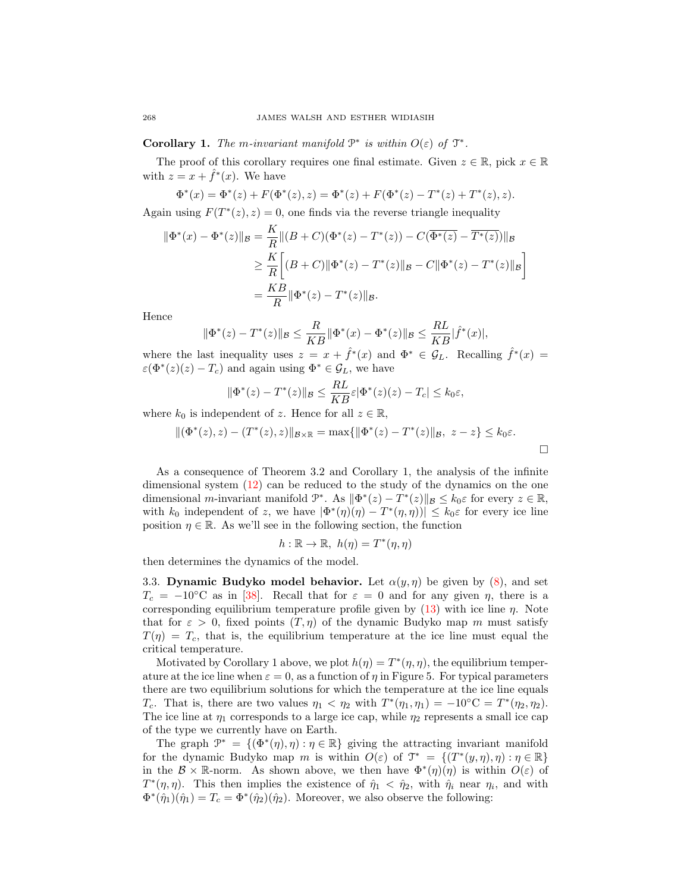**Corollary 1.** The m-invariant manifold  $\mathcal{P}^*$  is within  $O(\varepsilon)$  of  $\mathcal{T}^*$ .

The proof of this corollary requires one final estimate. Given  $z \in \mathbb{R}$ , pick  $x \in \mathbb{R}$ with  $z = x + \hat{f}^*(x)$ . We have

$$
\Phi^*(x) = \Phi^*(z) + F(\Phi^*(z), z) = \Phi^*(z) + F(\Phi^*(z) - T^*(z) + T^*(z), z).
$$

Again using  $F(T^*(z), z) = 0$ , one finds via the reverse triangle inequality

$$
\|\Phi^*(x) - \Phi^*(z)\|_{\mathcal{B}} = \frac{K}{R} \|(B+C)(\Phi^*(z) - T^*(z)) - C(\overline{\Phi^*(z)} - \overline{T^*(z)})\|_{\mathcal{B}}
$$
  
\n
$$
\geq \frac{K}{R} \Big[ (B+C) \|\Phi^*(z) - T^*(z)\|_{\mathcal{B}} - C \|\Phi^*(z) - T^*(z)\|_{\mathcal{B}} \Big]
$$
  
\n
$$
= \frac{KB}{R} \|\Phi^*(z) - T^*(z)\|_{\mathcal{B}}.
$$

Hence

$$
\|\Phi^*(z) - T^*(z)\|_{\mathcal{B}} \le \frac{R}{KB} \|\Phi^*(x) - \Phi^*(z)\|_{\mathcal{B}} \le \frac{RL}{KB} |\hat{f}^*(x)|,
$$

where the last inequality uses  $z = x + \hat{f}^*(x)$  and  $\Phi^* \in \mathcal{G}_L$ . Recalling  $\hat{f}^*(x) =$  $\varepsilon(\Phi^*(z)(z) - T_c)$  and again using  $\Phi^* \in \mathcal{G}_L$ , we have

$$
\|\Phi^*(z) - T^*(z)\|_{\mathcal{B}} \le \frac{RL}{KB}\varepsilon |\Phi^*(z)(z) - T_c| \le k_0\varepsilon,
$$

where  $k_0$  is independent of z. Hence for all  $z \in \mathbb{R}$ ,

$$
\|(\Phi^*(z), z) - (T^*(z), z)\|_{\mathcal{B}\times\mathbb{R}} = \max\{\|\Phi^*(z) - T^*(z)\|_{\mathcal{B}}, z - z\} \le k_0\varepsilon.
$$

As a consequence of Theorem 3.2 and Corollary 1, the analysis of the infinite dimensional system [\(12\)](#page-6-2) can be reduced to the study of the dynamics on the one dimensional *m*-invariant manifold  $\mathcal{P}^*$ . As  $\|\Phi^*(z) - T^*(z)\|_{\mathcal{B}} \le k_0 \varepsilon$  for every  $z \in \mathbb{R}$ , with  $k_0$  independent of z, we have  $|\Phi^*(\eta)(\eta) - T^*(\eta, \eta)| \leq k_0 \varepsilon$  for every ice line position  $\eta \in \mathbb{R}$ . As we'll see in the following section, the function

$$
h: \mathbb{R} \to \mathbb{R}, \ h(\eta) = T^*(\eta, \eta)
$$

then determines the dynamics of the model.

3.3. Dynamic Budyko model behavior. Let  $\alpha(y, \eta)$  be given by [\(8\)](#page-4-0), and set  $T_c = -10\degree\text{C}$  as in [\[38\]](#page-22-13). Recall that for  $\varepsilon = 0$  and for any given  $\eta$ , there is a corresponding equilibrium temperature profile given by  $(13)$  with ice line  $\eta$ . Note that for  $\varepsilon > 0$ , fixed points  $(T, \eta)$  of the dynamic Budyko map m must satisfy  $T(\eta) = T_c$ , that is, the equilibrium temperature at the ice line must equal the critical temperature.

Motivated by Corollary 1 above, we plot  $h(\eta) = T^*(\eta, \eta)$ , the equilibrium temperature at the ice line when  $\varepsilon = 0$ , as a function of  $\eta$  in Figure 5. For typical parameters there are two equilibrium solutions for which the temperature at the ice line equals T<sub>c</sub>. That is, there are two values  $\eta_1 < \eta_2$  with  $T^*(\eta_1, \eta_1) = -10$ <sup>o</sup>C =  $T^*(\eta_2, \eta_2)$ . The ice line at  $\eta_1$  corresponds to a large ice cap, while  $\eta_2$  represents a small ice cap of the type we currently have on Earth.

The graph  $\mathcal{P}^* = \{(\Phi^*(\eta), \eta) : \eta \in \mathbb{R}\}\$ giving the attracting invariant manifold for the dynamic Budyko map m is within  $O(\varepsilon)$  of  $\mathcal{T}^* = \{(T^*(y, \eta), \eta) : \eta \in \mathbb{R}\}\$ in the  $\mathcal{B} \times \mathbb{R}$ -norm. As shown above, we then have  $\Phi^*(\eta)(\eta)$  is within  $O(\varepsilon)$  of  $T^*(\eta, \eta)$ . This then implies the existence of  $\hat{\eta}_1 < \hat{\eta}_2$ , with  $\hat{\eta}_i$  near  $\eta_i$ , and with  $\Phi^*(\hat{\eta}_1)(\hat{\eta}_1) = T_c = \Phi^*(\hat{\eta}_2)(\hat{\eta}_2)$ . Moreover, we also observe the following: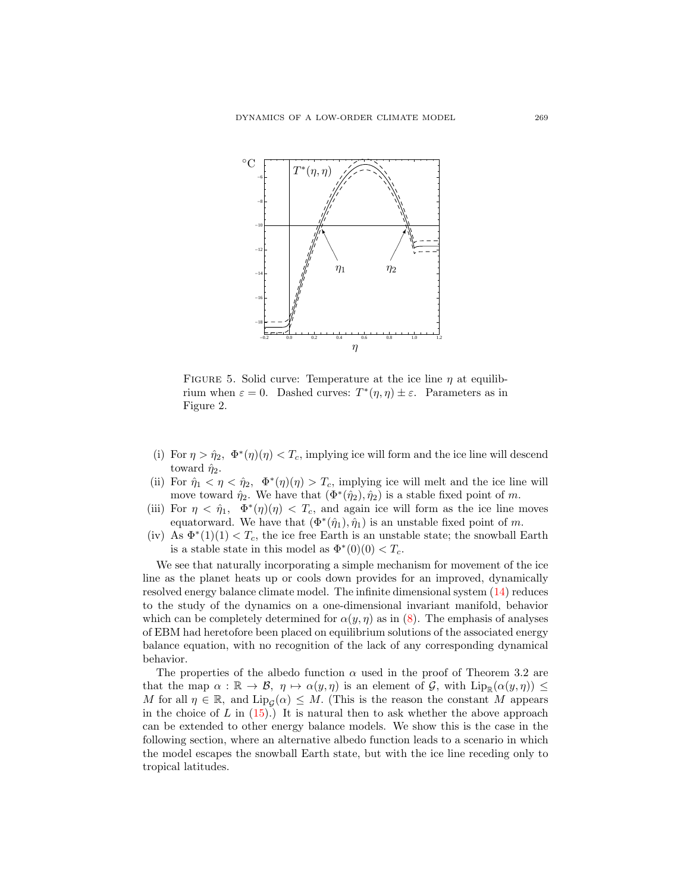

FIGURE 5. Solid curve: Temperature at the ice line  $\eta$  at equilibrium when  $\varepsilon = 0$ . Dashed curves:  $T^*(\eta, \eta) \pm \varepsilon$ . Parameters as in Figure 2.

- (i) For  $\eta > \hat{\eta}_2$ ,  $\Phi^*(\eta)(\eta) < T_c$ , implying ice will form and the ice line will descend toward  $\hat{\eta}_2$ .
- (ii) For  $\hat{\eta}_1 < \eta < \hat{\eta}_2$ ,  $\Phi^*(\eta)(\eta) > T_c$ , implying ice will melt and the ice line will move toward  $\hat{\eta}_2$ . We have that  $(\Phi^*(\hat{\eta}_2), \hat{\eta}_2)$  is a stable fixed point of m.
- (iii) For  $\eta < \hat{\eta}_1$ ,  $\Phi^*(\eta)(\eta) < T_c$ , and again ice will form as the ice line moves equatorward. We have that  $(\Phi^*(\hat{\eta}_1), \hat{\eta}_1)$  is an unstable fixed point of m.
- (iv) As  $\Phi^*(1)(1) < T_c$ , the ice free Earth is an unstable state; the snowball Earth is a stable state in this model as  $\Phi^*(0)(0) < T_c$ .

We see that naturally incorporating a simple mechanism for movement of the ice line as the planet heats up or cools down provides for an improved, dynamically resolved energy balance climate model. The infinite dimensional system [\(14\)](#page-7-1) reduces to the study of the dynamics on a one-dimensional invariant manifold, behavior which can be completely determined for  $\alpha(y, \eta)$  as in [\(8\)](#page-4-0). The emphasis of analyses of EBM had heretofore been placed on equilibrium solutions of the associated energy balance equation, with no recognition of the lack of any corresponding dynamical behavior.

The properties of the albedo function  $\alpha$  used in the proof of Theorem 3.2 are that the map  $\alpha : \mathbb{R} \to \mathcal{B}, \eta \mapsto \alpha(y, \eta)$  is an element of  $\mathcal{G}$ , with  $\text{Lip}_{\mathbb{R}}(\alpha(y, \eta)) \leq$ M for all  $\eta \in \mathbb{R}$ , and  $\text{Lip}_{\mathcal{G}}(\alpha) \leq M$ . (This is the reason the constant M appears in the choice of  $L$  in [\(15\)](#page-7-0).) It is natural then to ask whether the above approach can be extended to other energy balance models. We show this is the case in the following section, where an alternative albedo function leads to a scenario in which the model escapes the snowball Earth state, but with the ice line receding only to tropical latitudes.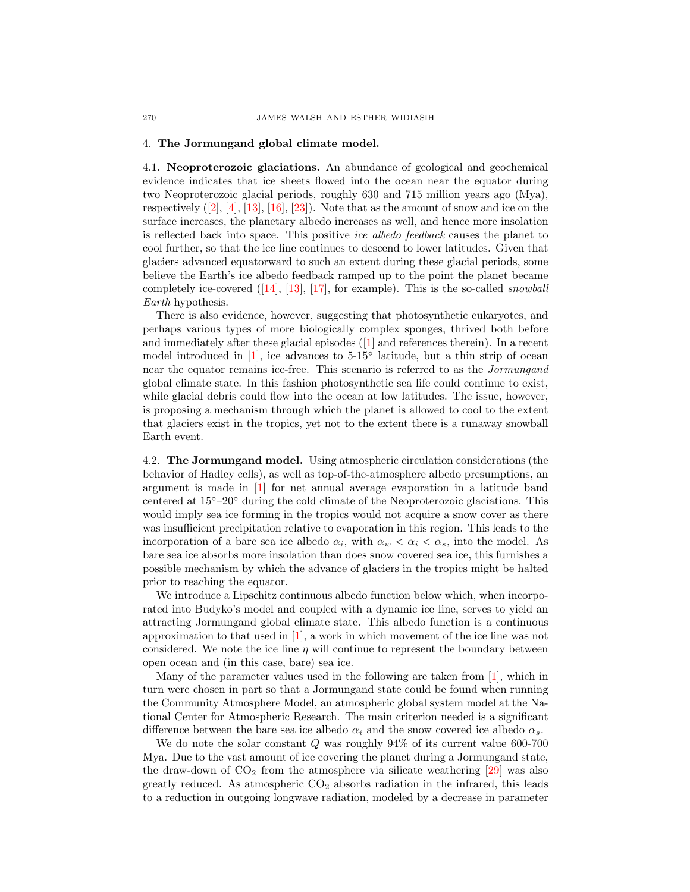## 4. The Jormungand global climate model.

4.1. Neoproterozoic glaciations. An abundance of geological and geochemical evidence indicates that ice sheets flowed into the ocean near the equator during two Neoproterozoic glacial periods, roughly 630 and 715 million years ago (Mya), respectively $([2], [4], [13], [16], [23])$  $([2], [4], [13], [16], [23])$  $([2], [4], [13], [16], [23])$  $([2], [4], [13], [16], [23])$  $([2], [4], [13], [16], [23])$  $([2], [4], [13], [16], [23])$  $([2], [4], [13], [16], [23])$  $([2], [4], [13], [16], [23])$  $([2], [4], [13], [16], [23])$  $([2], [4], [13], [16], [23])$  $([2], [4], [13], [16], [23])$ . Note that as the amount of snow and ice on the surface increases, the planetary albedo increases as well, and hence more insolation is reflected back into space. This positive ice albedo feedback causes the planet to cool further, so that the ice line continues to descend to lower latitudes. Given that glaciers advanced equatorward to such an extent during these glacial periods, some believe the Earth's ice albedo feedback ramped up to the point the planet became completelyice-covered  $([14], [13], [17],$  $([14], [13], [17],$  $([14], [13], [17],$  $([14], [13], [17],$  $([14], [13], [17],$  $([14], [13], [17],$  $([14], [13], [17],$  for example). This is the so-called *snowball* Earth hypothesis.

There is also evidence, however, suggesting that photosynthetic eukaryotes, and perhaps various types of more biologically complex sponges, thrived both before and immediately after these glacial episodes([\[1\]](#page-21-6) and references therein). In a recent model introduced in [\[1\]](#page-21-6), ice advances to 5-15◦ latitude, but a thin strip of ocean near the equator remains ice-free. This scenario is referred to as the Jormungand global climate state. In this fashion photosynthetic sea life could continue to exist, while glacial debris could flow into the ocean at low latitudes. The issue, however, is proposing a mechanism through which the planet is allowed to cool to the extent that glaciers exist in the tropics, yet not to the extent there is a runaway snowball Earth event.

4.2. The Jormungand model. Using atmospheric circulation considerations (the behavior of Hadley cells), as well as top-of-the-atmosphere albedo presumptions, an argument is made in [\[1\]](#page-21-6) for net annual average evaporation in a latitude band centered at 15◦–20◦ during the cold climate of the Neoproterozoic glaciations. This would imply sea ice forming in the tropics would not acquire a snow cover as there was insufficient precipitation relative to evaporation in this region. This leads to the incorporation of a bare sea ice albedo  $\alpha_i$ , with  $\alpha_w < \alpha_i < \alpha_s$ , into the model. As bare sea ice absorbs more insolation than does snow covered sea ice, this furnishes a possible mechanism by which the advance of glaciers in the tropics might be halted prior to reaching the equator.

We introduce a Lipschitz continuous albedo function below which, when incorporated into Budyko's model and coupled with a dynamic ice line, serves to yield an attracting Jormungand global climate state. This albedo function is a continuous approximation to that used in  $[1]$ , a work in which movement of the ice line was not considered. We note the ice line  $\eta$  will continue to represent the boundary between open ocean and (in this case, bare) sea ice.

Many of the parameter values used in the following are taken from [\[1\]](#page-21-6), which in turn were chosen in part so that a Jormungand state could be found when running the Community Atmosphere Model, an atmospheric global system model at the National Center for Atmospheric Research. The main criterion needed is a significant difference between the bare sea ice albedo  $\alpha_i$  and the snow covered ice albedo  $\alpha_s$ .

We do note the solar constant  $Q$  was roughly  $94\%$  of its current value 600-700 Mya. Due to the vast amount of ice covering the planet during a Jormungand state, the draw-down of  $CO<sub>2</sub>$  from the atmosphere via silicate weathering [\[29\]](#page-22-8) was also greatly reduced. As atmospheric  $CO<sub>2</sub>$  absorbs radiation in the infrared, this leads to a reduction in outgoing longwave radiation, modeled by a decrease in parameter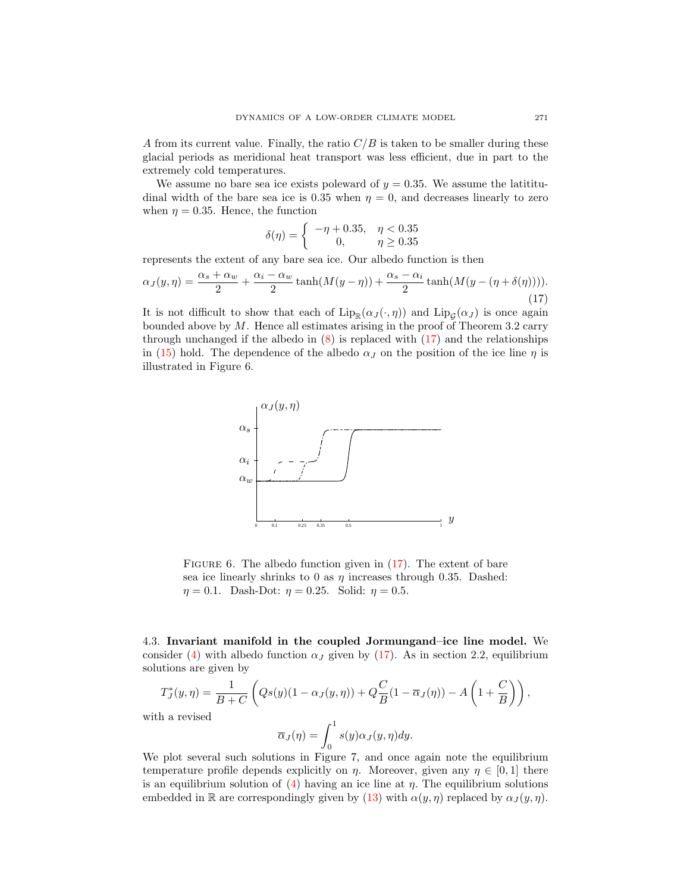A from its current value. Finally, the ratio  $C/B$  is taken to be smaller during these glacial periods as meridional heat transport was less efficient, due in part to the extremely cold temperatures.

We assume no bare sea ice exists poleward of  $y = 0.35$ . We assume the latititudinal width of the bare sea ice is 0.35 when  $\eta = 0$ , and decreases linearly to zero when  $\eta = 0.35$ . Hence, the function

$$
\delta(\eta) = \begin{cases}\n-\eta + 0.35, & \eta < 0.35 \\
0, & \eta \ge 0.35\n\end{cases}
$$

represents the extent of any bare sea ice. Our albedo function is then

<span id="page-14-0"></span>
$$
\alpha_J(y,\eta) = \frac{\alpha_s + \alpha_w}{2} + \frac{\alpha_i - \alpha_w}{2} \tanh(M(y-\eta)) + \frac{\alpha_s - \alpha_i}{2} \tanh(M(y-(\eta+\delta(\eta)))) \tag{17}
$$

It is not difficult to show that each of  $\text{Lip}_{\mathbb{R}}(\alpha_J(\cdot, \eta))$  and  $\text{Lip}_{\mathcal{G}}(\alpha_J)$  is once again bounded above by  $M$ . Hence all estimates arising in the proof of Theorem 3.2 carry through unchanged if the albedo in  $(8)$  is replaced with  $(17)$  and the relationships in [\(15\)](#page-7-0) hold. The dependence of the albedo  $\alpha_J$  on the position of the ice line  $\eta$  is illustrated in Figure 6.



FIGURE 6. The albedo function given in  $(17)$ . The extent of bare sea ice linearly shrinks to 0 as  $\eta$  increases through 0.35. Dashed:  $\eta = 0.1$ . Dash-Dot:  $\eta = 0.25$ . Solid:  $\eta = 0.5$ .

4.3. Invariant manifold in the coupled Jormungand–ice line model. We consider [\(4\)](#page-3-2) with albedo function  $\alpha_J$  given by [\(17\)](#page-14-0). As in section 2.2, equilibrium solutions are given by

$$
T_J^*(y,\eta) = \frac{1}{B+C} \left( Qs(y)(1-\alpha_J(y,\eta)) + Q\frac{C}{B}(1-\overline{\alpha}_J(\eta)) - A\left(1+\frac{C}{B}\right) \right),
$$

with a revised

$$
\overline{\alpha}_J(\eta) = \int_0^1 s(y)\alpha_J(y,\eta)dy.
$$

We plot several such solutions in Figure 7, and once again note the equilibrium temperature profile depends explicitly on  $\eta$ . Moreover, given any  $\eta \in [0,1]$  there is an equilibrium solution of [\(4\)](#page-3-2) having an ice line at  $\eta$ . The equilibrium solutions embedded in R are correspondingly given by [\(13\)](#page-6-3) with  $\alpha(y, \eta)$  replaced by  $\alpha_J(y, \eta)$ .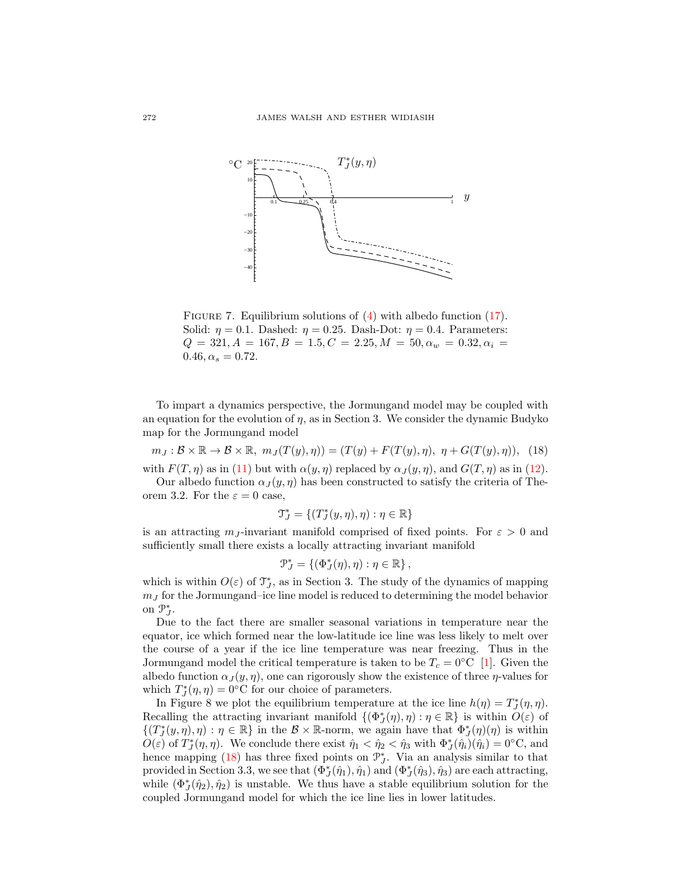

FIGURE 7. Equilibrium solutions of  $(4)$  with albedo function  $(17)$ . Solid:  $\eta = 0.1$ . Dashed:  $\eta = 0.25$ . Dash-Dot:  $\eta = 0.4$ . Parameters:  $Q = 321, A = 167, B = 1.5, C = 2.25, M = 50, \alpha_w = 0.32, \alpha_i =$  $0.46, \alpha_s = 0.72.$ 

To impart a dynamics perspective, the Jormungand model may be coupled with an equation for the evolution of  $\eta$ , as in Section 3. We consider the dynamic Budyko map for the Jormungand model

<span id="page-15-0"></span> $m_J : \mathcal{B} \times \mathbb{R} \to \mathcal{B} \times \mathbb{R}, m_J(T(y), \eta)) = (T(y) + F(T(y), \eta), \eta + G(T(y), \eta)),$  (18) with  $F(T, \eta)$  as in [\(11\)](#page-6-1) but with  $\alpha(y, \eta)$  replaced by  $\alpha_J(y, \eta)$ , and  $G(T, \eta)$  as in [\(12\)](#page-6-2).

Our albedo function  $\alpha_J(y, \eta)$  has been constructed to satisfy the criteria of Theorem 3.2. For the  $\varepsilon = 0$  case,

$$
\mathfrak{T}_J^* = \{(T_J^*(y,\eta),\eta) : \eta \in \mathbb{R}\}
$$

is an attracting  $m<sub>J</sub>$ -invariant manifold comprised of fixed points. For  $\varepsilon > 0$  and sufficiently small there exists a locally attracting invariant manifold

$$
\mathcal{P}_J^* = \{ (\Phi_J^*(\eta), \eta) : \eta \in \mathbb{R} \},
$$

which is within  $O(\varepsilon)$  of  $\mathfrak{T}_J^*$ , as in Section 3. The study of the dynamics of mapping  $m<sub>J</sub>$  for the Jormungand–ice line model is reduced to determining the model behavior on  $\mathcal{P}_{J}^*$ .

Due to the fact there are smaller seasonal variations in temperature near the equator, ice which formed near the low-latitude ice line was less likely to melt over the course of a year if the ice line temperature was near freezing. Thus in the Jormungand model the critical temperature is taken to be  $T_c = 0$ °C [\[1\]](#page-21-6). Given the albedo function  $\alpha_J(y, \eta)$ , one can rigorously show the existence of three  $\eta$ -values for which  $T_J^*(\eta, \eta) = 0$ °C for our choice of parameters.

In Figure 8 we plot the equilibrium temperature at the ice line  $h(\eta) = T_J^*(\eta, \eta)$ . Recalling the attracting invariant manifold  $\{(\Phi_j^*(\eta), \eta) : \eta \in \mathbb{R}\}\)$  is within  $O(\varepsilon)$  of  $\{(T^*_J(y,\eta),\eta): \eta \in \mathbb{R}\}\$ in the  $\mathcal{B} \times \mathbb{R}$ -norm, we again have that  $\Phi^*_J(\eta)(\eta)$  is within  $O(\varepsilon)$  of  $T_J^*(\eta, \eta)$ . We conclude there exist  $\hat{\eta}_1 < \hat{\eta}_2 < \hat{\eta}_3$  with  $\Phi_J^*(\hat{\eta}_i)(\hat{\eta}_i) = 0$ °C, and hence mapping [\(18\)](#page-15-0) has three fixed points on  $\mathcal{P}_{J}^{*}$ . Via an analysis similar to that provided in Section 3.3, we see that  $(\Phi^*_J(\hat{\eta}_1), \hat{\eta}_1)$  and  $(\Phi^*_J(\hat{\eta}_3), \hat{\eta}_3)$  are each attracting, while  $(\Phi^*_{J}(\hat{\eta}_2), \hat{\eta}_2)$  is unstable. We thus have a stable equilibrium solution for the coupled Jormungand model for which the ice line lies in lower latitudes.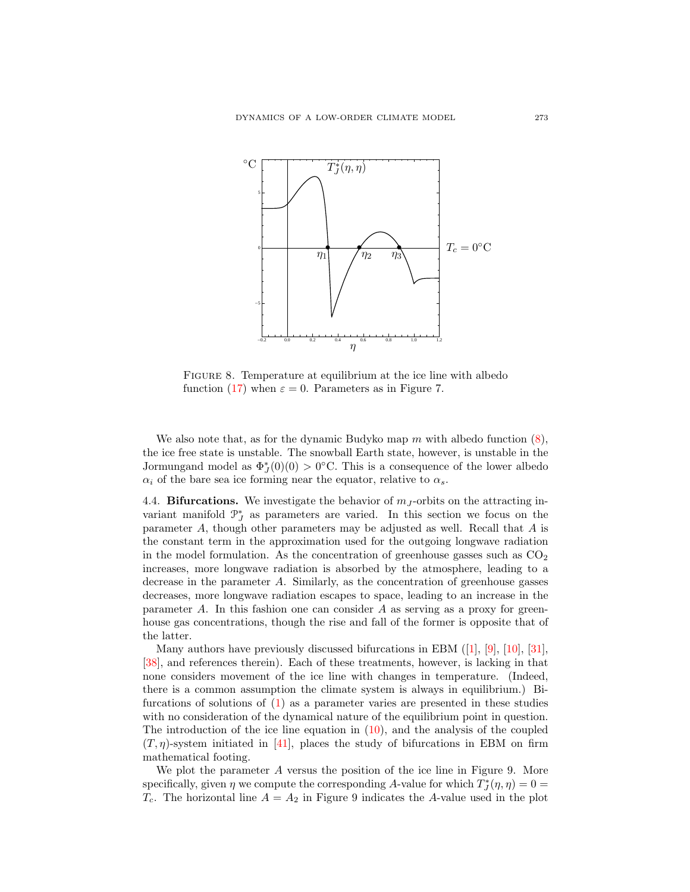

FIGURE 8. Temperature at equilibrium at the ice line with albedo function [\(17\)](#page-14-0) when  $\varepsilon = 0$ . Parameters as in Figure 7.

We also note that, as for the dynamic Budyko map m with albedo function  $(8)$ , the ice free state is unstable. The snowball Earth state, however, is unstable in the Jormungand model as  $\Phi_J^*(0)(0) > 0$ °C. This is a consequence of the lower albedo  $\alpha_i$  of the bare sea ice forming near the equator, relative to  $\alpha_s$ .

4.4. **Bifurcations.** We investigate the behavior of  $m<sub>J</sub>$ -orbits on the attracting invariant manifold  $\mathcal{P}_{J}^{*}$  as parameters are varied. In this section we focus on the parameter A, though other parameters may be adjusted as well. Recall that A is the constant term in the approximation used for the outgoing longwave radiation in the model formulation. As the concentration of greenhouse gasses such as  $CO<sub>2</sub>$ increases, more longwave radiation is absorbed by the atmosphere, leading to a decrease in the parameter A. Similarly, as the concentration of greenhouse gasses decreases, more longwave radiation escapes to space, leading to an increase in the parameter  $A$ . In this fashion one can consider  $A$  as serving as a proxy for greenhouse gas concentrations, though the rise and fall of the former is opposite that of the latter.

Many authors have previously discussed bifurcations in EBM([\[1\]](#page-21-6), [\[9\]](#page-21-15), [\[10\]](#page-21-16), [\[31\]](#page-22-17), [\[38\]](#page-22-13), and references therein). Each of these treatments, however, is lacking in that none considers movement of the ice line with changes in temperature. (Indeed, there is a common assumption the climate system is always in equilibrium.) Bifurcations of solutions of  $(1)$  as a parameter varies are presented in these studies with no consideration of the dynamical nature of the equilibrium point in question. The introduction of the ice line equation in [\(10\)](#page-6-0), and the analysis of the coupled  $(T, \eta)$ -system initiated in [\[41\]](#page-22-10), places the study of bifurcations in EBM on firm mathematical footing.

We plot the parameter A versus the position of the ice line in Figure 9. More specifically, given  $\eta$  we compute the corresponding A-value for which  $T_J^*(\eta, \eta) = 0$  $T_c$ . The horizontal line  $A = A_2$  in Figure 9 indicates the A-value used in the plot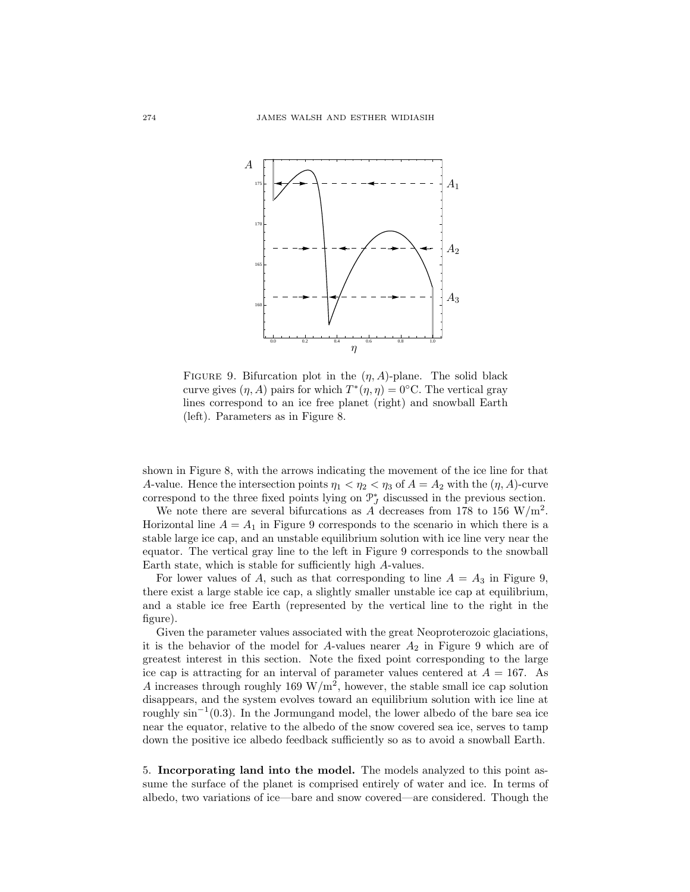

FIGURE 9. Bifurcation plot in the  $(\eta, A)$ -plane. The solid black curve gives  $(\eta, A)$  pairs for which  $T^*(\eta, \eta) = 0$ °C. The vertical gray lines correspond to an ice free planet (right) and snowball Earth (left). Parameters as in Figure 8.

shown in Figure 8, with the arrows indicating the movement of the ice line for that A-value. Hence the intersection points  $\eta_1 < \eta_2 < \eta_3$  of  $A = A_2$  with the  $(\eta, A)$ -curve correspond to the three fixed points lying on  $\mathcal{P}_{J}^{*}$  discussed in the previous section.

We note there are several bifurcations as A decreases from 178 to 156 W/m<sup>2</sup>. Horizontal line  $A = A_1$  in Figure 9 corresponds to the scenario in which there is a stable large ice cap, and an unstable equilibrium solution with ice line very near the equator. The vertical gray line to the left in Figure 9 corresponds to the snowball Earth state, which is stable for sufficiently high A-values.

For lower values of A, such as that corresponding to line  $A = A_3$  in Figure 9, there exist a large stable ice cap, a slightly smaller unstable ice cap at equilibrium, and a stable ice free Earth (represented by the vertical line to the right in the figure).

Given the parameter values associated with the great Neoproterozoic glaciations, it is the behavior of the model for A-values nearer  $A_2$  in Figure 9 which are of greatest interest in this section. Note the fixed point corresponding to the large ice cap is attracting for an interval of parameter values centered at  $A = 167$ . As A increases through roughly 169  $\rm W/m^2$ , however, the stable small ice cap solution disappears, and the system evolves toward an equilibrium solution with ice line at roughly  $\sin^{-1}(0.3)$ . In the Jormungand model, the lower albedo of the bare sea ice near the equator, relative to the albedo of the snow covered sea ice, serves to tamp down the positive ice albedo feedback sufficiently so as to avoid a snowball Earth.

5. Incorporating land into the model. The models analyzed to this point assume the surface of the planet is comprised entirely of water and ice. In terms of albedo, two variations of ice—bare and snow covered—are considered. Though the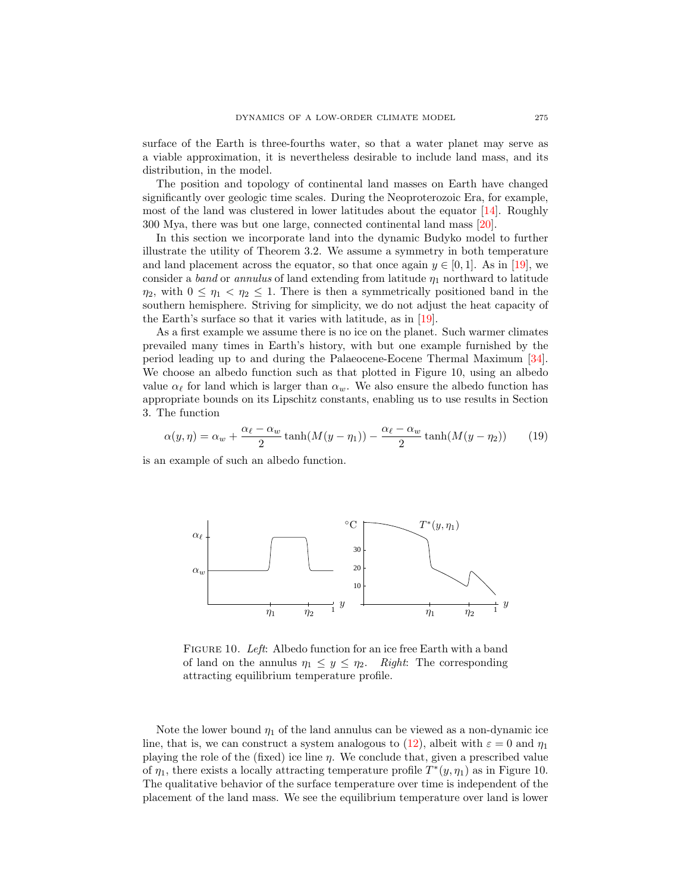surface of the Earth is three-fourths water, so that a water planet may serve as a viable approximation, it is nevertheless desirable to include land mass, and its distribution, in the model.

The position and topology of continental land masses on Earth have changed significantly over geologic time scales. During the Neoproterozoic Era, for example, most of the land was clustered in lower latitudes about the equator [\[14\]](#page-21-7). Roughly 300 Mya, there was but one large, connected continental land mass [\[20\]](#page-22-18).

In this section we incorporate land into the dynamic Budyko model to further illustrate the utility of Theorem 3.2. We assume a symmetry in both temperature and land placement across the equator, so that once again  $y \in [0, 1]$ . As in [\[19\]](#page-21-17), we consider a band or annulus of land extending from latitude  $\eta_1$  northward to latitude  $\eta_2$ , with  $0 \leq \eta_1 < \eta_2 \leq 1$ . There is then a symmetrically positioned band in the southern hemisphere. Striving for simplicity, we do not adjust the heat capacity of the Earth's surface so that it varies with latitude, as in [\[19\]](#page-21-17).

As a first example we assume there is no ice on the planet. Such warmer climates prevailed many times in Earth's history, with but one example furnished by the period leading up to and during the Palaeocene-Eocene Thermal Maximum [\[34\]](#page-22-19). We choose an albedo function such as that plotted in Figure 10, using an albedo value  $\alpha_{\ell}$  for land which is larger than  $\alpha_{w}$ . We also ensure the albedo function has appropriate bounds on its Lipschitz constants, enabling us to use results in Section 3. The function

$$
\alpha(y,\eta) = \alpha_w + \frac{\alpha_\ell - \alpha_w}{2} \tanh(M(y-\eta_1)) - \frac{\alpha_\ell - \alpha_w}{2} \tanh(M(y-\eta_2)) \tag{19}
$$

is an example of such an albedo function.



FIGURE 10. Left: Albedo function for an ice free Earth with a band of land on the annulus  $\eta_1 \leq y \leq \eta_2$ . Right: The corresponding attracting equilibrium temperature profile.

Note the lower bound  $\eta_1$  of the land annulus can be viewed as a non-dynamic ice line, that is, we can construct a system analogous to [\(12\)](#page-6-2), albeit with  $\varepsilon = 0$  and  $\eta_1$ playing the role of the (fixed) ice line  $\eta$ . We conclude that, given a prescribed value of  $\eta_1$ , there exists a locally attracting temperature profile  $T^*(y, \eta_1)$  as in Figure 10. The qualitative behavior of the surface temperature over time is independent of the placement of the land mass. We see the equilibrium temperature over land is lower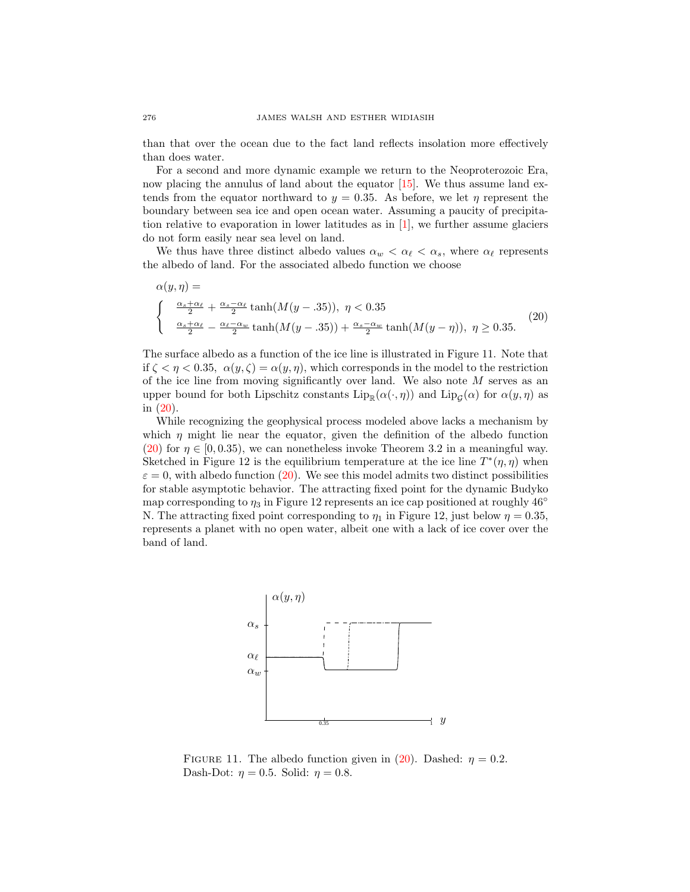than that over the ocean due to the fact land reflects insolation more effectively than does water.

For a second and more dynamic example we return to the Neoproterozoic Era, now placing the annulus of land about the equator [\[15\]](#page-21-18). We thus assume land extends from the equator northward to  $y = 0.35$ . As before, we let  $\eta$  represent the boundary between sea ice and open ocean water. Assuming a paucity of precipitation relative to evaporation in lower latitudes as in [\[1\]](#page-21-6), we further assume glaciers do not form easily near sea level on land.

We thus have three distinct albedo values  $\alpha_w < \alpha_{\ell} < \alpha_s$ , where  $\alpha_{\ell}$  represents the albedo of land. For the associated albedo function we choose

<span id="page-19-0"></span>
$$
\alpha(y,\eta) =
$$
\n
$$
\begin{cases}\n\frac{\alpha_s + \alpha_\ell}{2} + \frac{\alpha_s - \alpha_\ell}{2} \tanh(M(y - .35)), \ \eta < 0.35 \\
\frac{\alpha_s + \alpha_\ell}{2} - \frac{\alpha_\ell - \alpha_w}{2} \tanh(M(y - .35)) + \frac{\alpha_s - \alpha_w}{2} \tanh(M(y - \eta)), \ \eta \ge 0.35.\n\end{cases}
$$
\n(20)

The surface albedo as a function of the ice line is illustrated in Figure 11. Note that if  $\zeta < \eta < 0.35$ ,  $\alpha(y,\zeta) = \alpha(y,\eta)$ , which corresponds in the model to the restriction of the ice line from moving significantly over land. We also note  $M$  serves as an upper bound for both Lipschitz constants  $\text{Lip}_{\mathbb{R}}(\alpha(\cdot, \eta))$  and  $\text{Lip}_{\mathcal{G}}(\alpha)$  for  $\alpha(y, \eta)$  as in [\(20\)](#page-19-0).

While recognizing the geophysical process modeled above lacks a mechanism by which  $\eta$  might lie near the equator, given the definition of the albedo function [\(20\)](#page-19-0) for  $\eta \in [0, 0.35)$ , we can nonetheless invoke Theorem 3.2 in a meaningful way. Sketched in Figure 12 is the equilibrium temperature at the ice line  $T^*(\eta, \eta)$  when  $\varepsilon = 0$ , with albedo function [\(20\)](#page-19-0). We see this model admits two distinct possibilities for stable asymptotic behavior. The attracting fixed point for the dynamic Budyko map corresponding to  $\eta_3$  in Figure 12 represents an ice cap positioned at roughly 46 $\degree$ N. The attracting fixed point corresponding to  $\eta_1$  in Figure 12, just below  $\eta = 0.35$ , represents a planet with no open water, albeit one with a lack of ice cover over the band of land.



FIGURE 11. The albedo function given in [\(20\)](#page-19-0). Dashed:  $\eta = 0.2$ . Dash-Dot:  $\eta = 0.5$ . Solid:  $\eta = 0.8$ .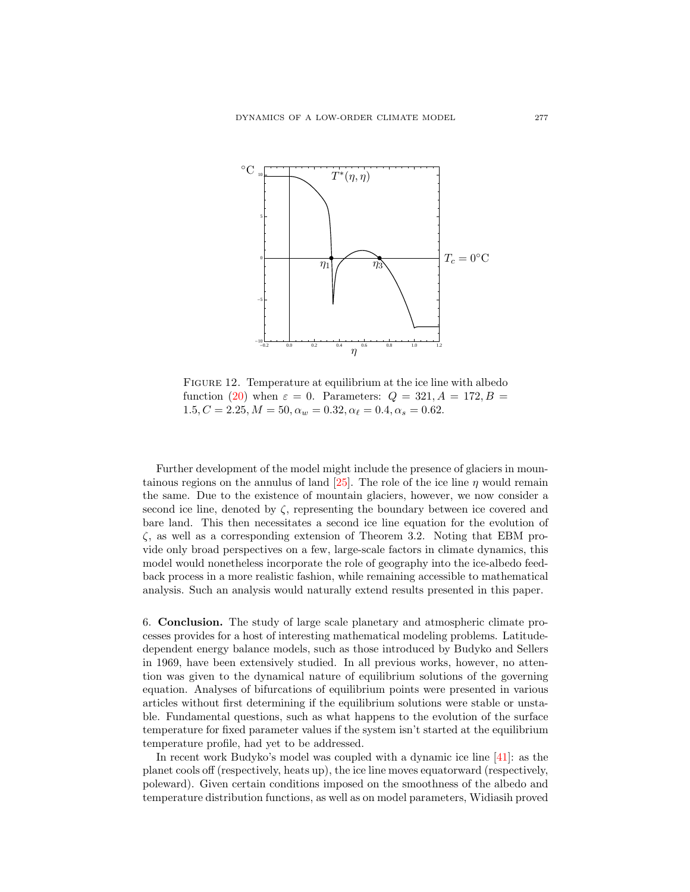

FIGURE 12. Temperature at equilibrium at the ice line with albedo function [\(20\)](#page-19-0) when  $\varepsilon = 0$ . Parameters:  $Q = 321, A = 172, B =$  $1.5, C = 2.25, M = 50, \alpha_w = 0.32, \alpha_\ell = 0.4, \alpha_s = 0.62.$ 

Further development of the model might include the presence of glaciers in moun-tainous regions on the annulus of land [\[25\]](#page-22-20). The role of the ice line  $\eta$  would remain the same. Due to the existence of mountain glaciers, however, we now consider a second ice line, denoted by  $\zeta$ , representing the boundary between ice covered and bare land. This then necessitates a second ice line equation for the evolution of  $\zeta$ , as well as a corresponding extension of Theorem 3.2. Noting that EBM provide only broad perspectives on a few, large-scale factors in climate dynamics, this model would nonetheless incorporate the role of geography into the ice-albedo feedback process in a more realistic fashion, while remaining accessible to mathematical analysis. Such an analysis would naturally extend results presented in this paper.

6. Conclusion. The study of large scale planetary and atmospheric climate processes provides for a host of interesting mathematical modeling problems. Latitudedependent energy balance models, such as those introduced by Budyko and Sellers in 1969, have been extensively studied. In all previous works, however, no attention was given to the dynamical nature of equilibrium solutions of the governing equation. Analyses of bifurcations of equilibrium points were presented in various articles without first determining if the equilibrium solutions were stable or unstable. Fundamental questions, such as what happens to the evolution of the surface temperature for fixed parameter values if the system isn't started at the equilibrium temperature profile, had yet to be addressed.

In recent work Budyko's model was coupled with a dynamic ice line [\[41\]](#page-22-10): as the planet cools off (respectively, heats up), the ice line moves equatorward (respectively, poleward). Given certain conditions imposed on the smoothness of the albedo and temperature distribution functions, as well as on model parameters, Widiasih proved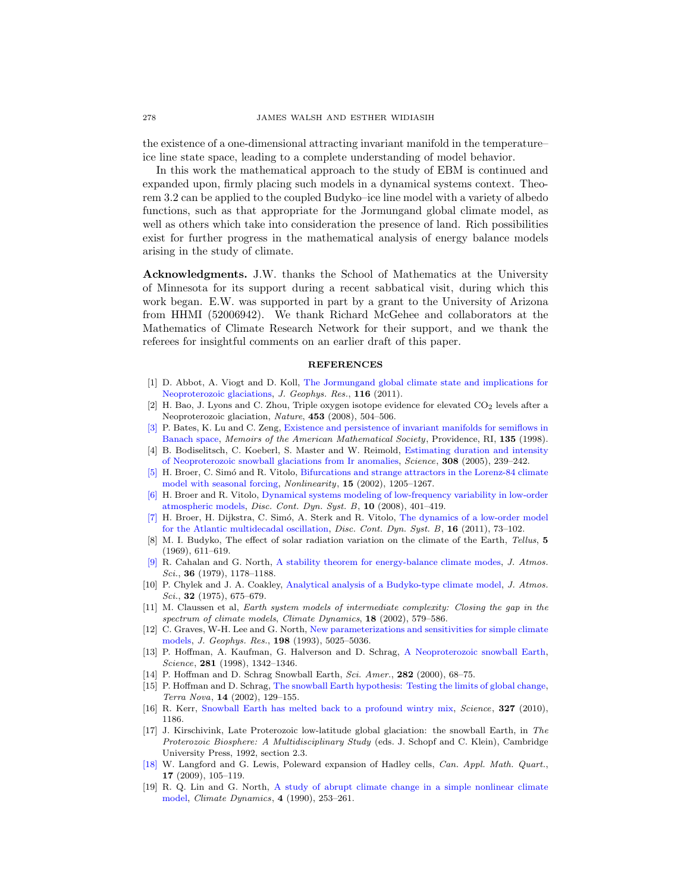the existence of a one-dimensional attracting invariant manifold in the temperature– ice line state space, leading to a complete understanding of model behavior.

In this work the mathematical approach to the study of EBM is continued and expanded upon, firmly placing such models in a dynamical systems context. Theorem 3.2 can be applied to the coupled Budyko–ice line model with a variety of albedo functions, such as that appropriate for the Jormungand global climate model, as well as others which take into consideration the presence of land. Rich possibilities exist for further progress in the mathematical analysis of energy balance models arising in the study of climate.

Acknowledgments. J.W. thanks the School of Mathematics at the University of Minnesota for its support during a recent sabbatical visit, during which this work began. E.W. was supported in part by a grant to the University of Arizona from HHMI (52006942). We thank Richard McGehee and collaborators at the Mathematics of Climate Research Network for their support, and we thank the referees for insightful comments on an earlier draft of this paper.

#### **REFERENCES**

- <span id="page-21-6"></span>[1] D. Abbot, A. Viogt and D. Koll, [The Jormungand global climate state and implications for](http://dx.doi.org/10.1029/2011JD015927) [Neoproterozoic glaciations,](http://dx.doi.org/10.1029/2011JD015927) J. Geophys. Res., 116 (2011).
- <span id="page-21-10"></span> $[2]$  H. Bao, J. Lyons and C. Zhou, Triple oxygen isotope evidence for elevated  $CO<sub>2</sub>$  levels after a Neoproterozoic glaciation, Nature, 453 (2008), 504–506.
- <span id="page-21-9"></span>[\[3\]](http://www.ams.org/mathscinet-getitem?mr=MR1445489&return=pdf) P. Bates, K. Lu and C. Zeng, [Existence and persistence of invariant manifolds for semiflows in](http://dx.doi.org/10.1090/memo/0645) [Banach space,](http://dx.doi.org/10.1090/memo/0645) Memoirs of the American Mathematical Society, Providence, RI, 135 (1998).
- <span id="page-21-11"></span>[4] B. Bodiselitsch, C. Koeberl, S. Master and W. Reimold, [Estimating duration and intensity](http://dx.doi.org/10.1126/science.1104657) [of Neoproterozoic snowball glaciations from Ir anomalies,](http://dx.doi.org/10.1126/science.1104657) Science, 308 (2005), 239–242.
- <span id="page-21-1"></span>[\[5\]](http://www.ams.org/mathscinet-getitem?mr=MR1912293&return=pdf) H. Broer, C. Simó and R. Vitolo, [Bifurcations and strange attractors in the Lorenz-84 climate](http://dx.doi.org/10.1088/0951-7715/15/4/312) [model with seasonal forcing,](http://dx.doi.org/10.1088/0951-7715/15/4/312) Nonlinearity, 15 (2002), 1205–1267.
- <span id="page-21-4"></span>[\[6\]](http://www.ams.org/mathscinet-getitem?mr=MR2425049&return=pdf) H. Broer and R. Vitolo, [Dynamical systems modeling of low-frequency variability in low-order](http://dx.doi.org/10.3934/dcdsb.2008.10.401) [atmospheric models,](http://dx.doi.org/10.3934/dcdsb.2008.10.401) Disc. Cont. Dyn. Syst. B, 10 (2008), 401–419.
- <span id="page-21-2"></span>[\[7\]](http://www.ams.org/mathscinet-getitem?mr=MR2799543&return=pdf) H. Broer, H. Dijkstra, C. Sim´o, A. Sterk and R. Vitolo, [The dynamics of a low-order model](http://dx.doi.org/10.3934/dcdsb.2011.16.73) [for the Atlantic multidecadal oscillation,](http://dx.doi.org/10.3934/dcdsb.2011.16.73) *Disc. Cont. Dyn. Syst. B*, **16** (2011), 73-102.
- <span id="page-21-5"></span>[8] M. I. Budyko, The effect of solar radiation variation on the climate of the Earth, Tellus, 5 (1969), 611–619.
- <span id="page-21-15"></span>[\[9\]](http://www.ams.org/mathscinet-getitem?mr=MR0540938&return=pdf) R. Cahalan and G. North, [A stability theorem for energy-balance climate modes,](http://dx.doi.org/10.1175/1520-0469(1979)036<1178:ASTFEB>2.0.CO;2) J. Atmos. Sci., 36 (1979), 1178–1188.
- <span id="page-21-16"></span>[10] P. Chylek and J. A. Coakley, [Analytical analysis of a Budyko-type climate model,](http://dx.doi.org/10.1175/1520-0469(1975)032<0675:AAOABT>2.0.CO;2) J. Atmos. Sci., **32** (1975), 675–679.
- <span id="page-21-0"></span>[11] M. Claussen et al, Earth system models of intermediate complexity: Closing the gap in the spectrum of climate models, Climate Dynamics, 18 (2002), 579–586.
- <span id="page-21-8"></span>[12] C. Graves, W-H. Lee and G. North, [New parameterizations and sensitivities for simple climate](http://dx.doi.org/10.1029/92JD02666) [models,](http://dx.doi.org/10.1029/92JD02666) J. Geophys. Res., 198 (1993), 5025–5036.
- <span id="page-21-12"></span>[13] P. Hoffman, A. Kaufman, G. Halverson and D. Schrag, [A Neoproterozoic snowball Earth,](http://dx.doi.org/10.1126/science.281.5381.1342) Science, 281 (1998), 1342–1346.
- <span id="page-21-7"></span>[14] P. Hoffman and D. Schrag Snowball Earth, Sci. Amer., 282 (2000), 68-75.
- <span id="page-21-18"></span>[15] P. Hoffman and D. Schrag, [The snowball Earth hypothesis: Testing the limits of global change,](http://dx.doi.org/10.1046/j.1365-3121.2002.00408.x) Terra Nova, 14 (2002), 129–155.
- <span id="page-21-13"></span>[16] R. Kerr, [Snowball Earth has melted back to a profound wintry mix,](http://dx.doi.org/10.1126/science.327.5970.1186) Science, 327 (2010), 1186.
- <span id="page-21-14"></span>[17] J. Kirschivink, Late Proterozoic low-latitude global glaciation: the snowball Earth, in The Proterozoic Biosphere: A Multidisciplinary Study (eds. J. Schopf and C. Klein), Cambridge University Press, 1992, section 2.3.
- <span id="page-21-3"></span>[\[18\]](http://www.ams.org/mathscinet-getitem?mr=MR2681415&return=pdf) W. Langford and G. Lewis, Poleward expansion of Hadley cells, Can. Appl. Math. Quart., 17 (2009), 105–119.
- <span id="page-21-17"></span>[19] R. Q. Lin and G. North, [A study of abrupt climate change in a simple nonlinear climate](http://dx.doi.org/10.1007/BF00211062) [model,](http://dx.doi.org/10.1007/BF00211062) Climate Dynamics, 4 (1990), 253–261.